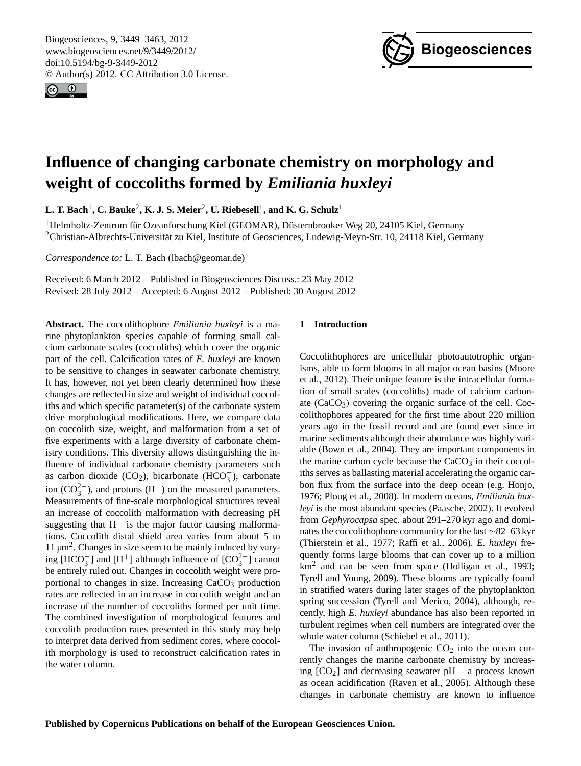<span id="page-0-0"></span>Biogeosciences, 9, 3449–3463, 2012 www.biogeosciences.net/9/3449/2012/ doi:10.5194/bg-9-3449-2012 © Author(s) 2012. CC Attribution 3.0 License.





# **Influence of changing carbonate chemistry on morphology and weight of coccoliths formed by** *Emiliania huxleyi*

 $\mathbf{L}.$  **T.** Bach<sup>1</sup>,  $\mathbf{C}.$  Bauke<sup>2</sup>, **K. J.** S. Meier<sup>2</sup>, U. Riebesell<sup>1</sup>, and K. G. Schulz<sup>1</sup>

 $1$ Helmholtz-Zentrum für Ozeanforschung Kiel (GEOMAR), Düsternbrooker Weg 20, 24105 Kiel, Germany <sup>2</sup>Christian-Albrechts-Universität zu Kiel, Institute of Geosciences, Ludewig-Meyn-Str. 10, 24118 Kiel, Germany

*Correspondence to:* L. T. Bach (lbach@geomar.de)

Received: 6 March 2012 – Published in Biogeosciences Discuss.: 23 May 2012 Revised: 28 July 2012 – Accepted: 6 August 2012 – Published: 30 August 2012

**Abstract.** The coccolithophore *Emiliania huxleyi* is a marine phytoplankton species capable of forming small calcium carbonate scales (coccoliths) which cover the organic part of the cell. Calcification rates of *E. huxleyi* are known to be sensitive to changes in seawater carbonate chemistry. It has, however, not yet been clearly determined how these changes are reflected in size and weight of individual coccoliths and which specific parameter(s) of the carbonate system drive morphological modifications. Here, we compare data on coccolith size, weight, and malformation from a set of five experiments with a large diversity of carbonate chemistry conditions. This diversity allows distinguishing the influence of individual carbonate chemistry parameters such as carbon dioxide (CO<sub>2</sub>), bicarbonate (HCO<sub>3</sub>), carbonate ion ( $CO_3^{2-}$ ), and protons (H<sup>+</sup>) on the measured parameters. Measurements of fine-scale morphological structures reveal an increase of coccolith malformation with decreasing pH suggesting that  $H^+$  is the major factor causing malformations. Coccolith distal shield area varies from about 5 to 11  $\mu$ m<sup>2</sup>. Changes in size seem to be mainly induced by varying [HCO<sub>3</sub>] and [H<sup>+</sup>] although influence of  $[CO_3^{2-}]$  cannot be entirely ruled out. Changes in coccolith weight were proportional to changes in size. Increasing  $CaCO<sub>3</sub>$  production rates are reflected in an increase in coccolith weight and an increase of the number of coccoliths formed per unit time. The combined investigation of morphological features and coccolith production rates presented in this study may help to interpret data derived from sediment cores, where coccolith morphology is used to reconstruct calcification rates in the water column.

#### **1 Introduction**

Coccolithophores are unicellular photoautotrophic organisms, able to form blooms in all major ocean basins (Moore et al., 2012). Their unique feature is the intracellular formation of small scales (coccoliths) made of calcium carbonate  $(CaCO<sub>3</sub>)$  covering the organic surface of the cell. Coccolithophores appeared for the first time about 220 million years ago in the fossil record and are found ever since in marine sediments although their abundance was highly variable (Bown et al., 2004). They are important components in the marine carbon cycle because the  $CaCO<sub>3</sub>$  in their coccoliths serves as ballasting material accelerating the organic carbon flux from the surface into the deep ocean (e.g. Honjo, 1976; Ploug et al., 2008). In modern oceans, *Emiliania huxleyi* is the most abundant species (Paasche, 2002). It evolved from *Gephyrocapsa* spec. about 291–270 kyr ago and dominates the coccolithophore community for the last ∼82–63 kyr (Thierstein et al., 1977; Raffi et al., 2006). *E. huxleyi* frequently forms large blooms that can cover up to a million km<sup>2</sup> and can be seen from space (Holligan et al., 1993; Tyrell and Young, 2009). These blooms are typically found in stratified waters during later stages of the phytoplankton spring succession (Tyrell and Merico, 2004), although, recently, high *E. huxleyi* abundance has also been reported in turbulent regimes when cell numbers are integrated over the whole water column (Schiebel et al., 2011).

The invasion of anthropogenic  $CO<sub>2</sub>$  into the ocean currently changes the marine carbonate chemistry by increasing  $[CO<sub>2</sub>]$  and decreasing seawater pH – a process known as ocean acidification (Raven et al., 2005). Although these changes in carbonate chemistry are known to influence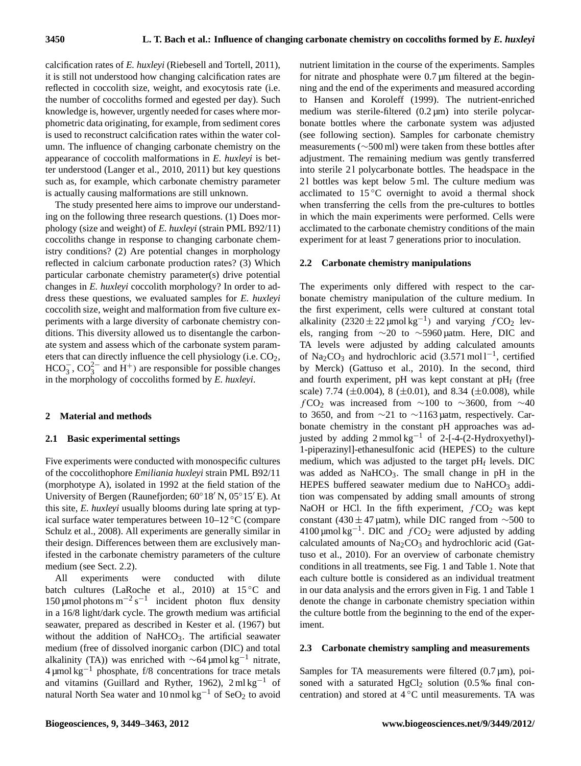calcification rates of *E. huxleyi* (Riebesell and Tortell, 2011), it is still not understood how changing calcification rates are reflected in coccolith size, weight, and exocytosis rate (i.e. the number of coccoliths formed and egested per day). Such knowledge is, however, urgently needed for cases where morphometric data originating, for example, from sediment cores is used to reconstruct calcification rates within the water column. The influence of changing carbonate chemistry on the appearance of coccolith malformations in *E. huxleyi* is better understood (Langer et al., 2010, 2011) but key questions such as, for example, which carbonate chemistry parameter is actually causing malformations are still unknown.

The study presented here aims to improve our understanding on the following three research questions. (1) Does morphology (size and weight) of *E. huxleyi* (strain PML B92/11) coccoliths change in response to changing carbonate chemistry conditions? (2) Are potential changes in morphology reflected in calcium carbonate production rates? (3) Which particular carbonate chemistry parameter(s) drive potential changes in *E. huxleyi* coccolith morphology? In order to address these questions, we evaluated samples for *E. huxleyi* coccolith size, weight and malformation from five culture experiments with a large diversity of carbonate chemistry conditions. This diversity allowed us to disentangle the carbonate system and assess which of the carbonate system parameters that can directly influence the cell physiology (i.e.  $CO<sub>2</sub>$ ,  $HCO_3^-$ ,  $CO_3^{2-}$  and  $H^+$ ) are responsible for possible changes in the morphology of coccoliths formed by *E. huxleyi*.

#### **2 Material and methods**

#### **2.1 Basic experimental settings**

Five experiments were conducted with monospecific cultures of the coccolithophore *Emiliania huxleyi* strain PML B92/11 (morphotype A), isolated in 1992 at the field station of the University of Bergen (Raunefjorden;  $60^{\circ}18'$  N,  $05^{\circ}15'E$ ). At this site, *E. huxleyi* usually blooms during late spring at typical surface water temperatures between 10–12 ◦C (compare Schulz et al., 2008). All experiments are generally similar in their design. Differences between them are exclusively manifested in the carbonate chemistry parameters of the culture medium (see Sect. 2.2).

All experiments were conducted with dilute batch cultures (LaRoche et al., 2010) at 15 °C and 150 μmol photons m<sup>-2</sup> s<sup>-1</sup> incident photon flux density in a 16/8 light/dark cycle. The growth medium was artificial seawater, prepared as described in Kester et al. (1967) but without the addition of NaHCO<sub>3</sub>. The artificial seawater medium (free of dissolved inorganic carbon (DIC) and total alkalinity (TA)) was enriched with  $\sim$ 64 µmol kg<sup>-1</sup> nitrate,  $4 \mu$ mol kg<sup>-1</sup> phosphate, f/8 concentrations for trace metals and vitamins (Guillard and Ryther, 1962),  $2 \text{ ml kg}^{-1}$  of natural North Sea water and 10 nmol kg<sup>-1</sup> of SeO<sub>2</sub> to avoid nutrient limitation in the course of the experiments. Samples for nitrate and phosphate were  $0.7 \mu m$  filtered at the beginning and the end of the experiments and measured according to Hansen and Koroleff (1999). The nutrient-enriched medium was sterile-filtered  $(0.2 \mu m)$  into sterile polycarbonate bottles where the carbonate system was adjusted (see following section). Samples for carbonate chemistry measurements (∼500 ml) were taken from these bottles after adjustment. The remaining medium was gently transferred into sterile 21 polycarbonate bottles. The headspace in the 21 bottles was kept below 5 ml. The culture medium was acclimated to  $15^{\circ}$ C overnight to avoid a thermal shock when transferring the cells from the pre-cultures to bottles in which the main experiments were performed. Cells were acclimated to the carbonate chemistry conditions of the main experiment for at least 7 generations prior to inoculation.

#### **2.2 Carbonate chemistry manipulations**

The experiments only differed with respect to the carbonate chemistry manipulation of the culture medium. In the first experiment, cells were cultured at constant total alkalinity  $(2320 \pm 22 \,\text{\mu} \text{mol kg}^{-1})$  and varying  $f \text{CO}_2$  levels, ranging from ∼20 to ∼5960 µatm. Here, DIC and TA levels were adjusted by adding calculated amounts of Na<sub>2</sub>CO<sub>3</sub> and hydrochloric acid  $(3.571 \text{ mol} 1^{-1})$ , certified by Merck) (Gattuso et al., 2010). In the second, third and fourth experiment, pH was kept constant at  $pH_f$  (free scale) 7.74 ( $\pm$ 0.004), 8 ( $\pm$ 0.01), and 8.34 ( $\pm$ 0.008), while  $fCO<sub>2</sub>$  was increased from ∼100 to ∼3600, from ∼40 to 3650, and from ∼21 to ∼1163 µatm, respectively. Carbonate chemistry in the constant pH approaches was adjusted by adding 2 mmol kg−<sup>1</sup> of 2-[-4-(2-Hydroxyethyl)- 1-piperazinyl]-ethanesulfonic acid (HEPES) to the culture medium, which was adjusted to the target  $pH_f$  levels. DIC was added as  $NaHCO<sub>3</sub>$ . The small change in pH in the HEPES buffered seawater medium due to  $NaHCO<sub>3</sub>$  addition was compensated by adding small amounts of strong NaOH or HCl. In the fifth experiment,  $fCO<sub>2</sub>$  was kept constant (430 ± 47 µatm), while DIC ranged from  $\sim$ 500 to 4100 µmol kg<sup>-1</sup>. DIC and  $fCO<sub>2</sub>$  were adjusted by adding calculated amounts of  $Na<sub>2</sub>CO<sub>3</sub>$  and hydrochloric acid (Gattuso et al., 2010). For an overview of carbonate chemistry conditions in all treatments, see Fig. 1 and Table 1. Note that each culture bottle is considered as an individual treatment in our data analysis and the errors given in Fig. 1 and Table 1 denote the change in carbonate chemistry speciation within the culture bottle from the beginning to the end of the experiment.

#### **2.3 Carbonate chemistry sampling and measurements**

Samples for TA measurements were filtered  $(0.7 \,\mu\text{m})$ , poisoned with a saturated  $HgCl<sub>2</sub>$  solution (0.5% final concentration) and stored at  $4^{\circ}$ C until measurements. TA was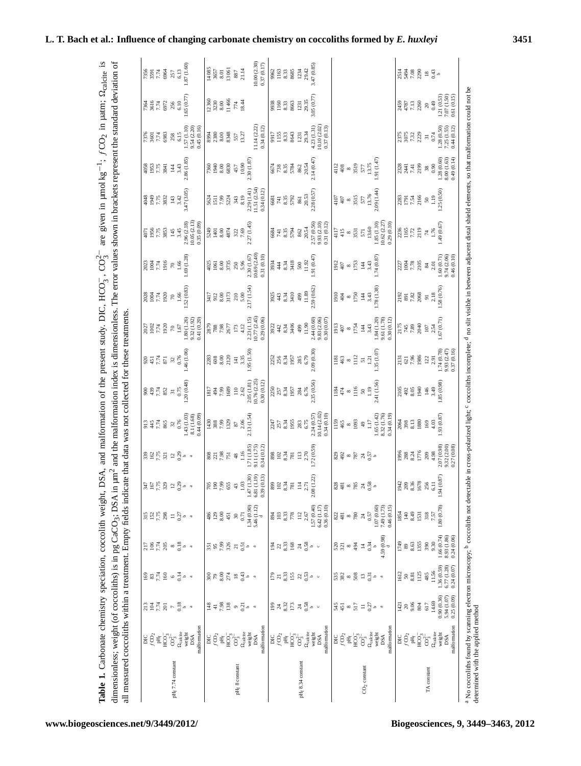| of the present study. DIC, HCO <sub>3</sub> , CO <sub>3</sub> <sup>-</sup> are given in $\mu$ molkg <sup>-1</sup> ; fCO <sub>2</sub> in $\mu$ atm; $\Omega_{\text{calc}}$<br>romotion or<br>A. and mal<br>neelith su<br>eciation, co<br>Carbonate chemistry<br>ahle. |
|----------------------------------------------------------------------------------------------------------------------------------------------------------------------------------------------------------------------------------------------------------------------|
| $\sum_{i=1}^{n}$<br>present the stands<br>aformation index is dimensionless. The error values shown in bracketer<br>$\lambda$ SA in $\mu$ m <sup>2</sup> and the ma <sup>r-</sup><br>-<br>د<br>while $\int_{0}^{1}$ of correlation is in respective.                 |
| ndicate that data was not collected fo<br>I measured coccoliths within a treatment. Empty                                                                                                                                                                            |

|                      |                                                                                                                                                                                                                                                                                                                                                                                                                                                                                                                                                                                                            |                                                                                                                                               |                                                                                                                       |                                                                                                                               |                                                                                                                                                                           |                                                                                                                                                                     |                                                                                |                                                                                |                                                             |                                                                                                                                                                                                                                                                                                                                                                                                                                                                                                                                                                                                                                                                                      |                                                                                   |                                                               |                                                                             | 4071                                                                               |                                                                   |                                                               |                                                                                |                               |                                                               |
|----------------------|------------------------------------------------------------------------------------------------------------------------------------------------------------------------------------------------------------------------------------------------------------------------------------------------------------------------------------------------------------------------------------------------------------------------------------------------------------------------------------------------------------------------------------------------------------------------------------------------------------|-----------------------------------------------------------------------------------------------------------------------------------------------|-----------------------------------------------------------------------------------------------------------------------|-------------------------------------------------------------------------------------------------------------------------------|---------------------------------------------------------------------------------------------------------------------------------------------------------------------------|---------------------------------------------------------------------------------------------------------------------------------------------------------------------|--------------------------------------------------------------------------------|--------------------------------------------------------------------------------|-------------------------------------------------------------|--------------------------------------------------------------------------------------------------------------------------------------------------------------------------------------------------------------------------------------------------------------------------------------------------------------------------------------------------------------------------------------------------------------------------------------------------------------------------------------------------------------------------------------------------------------------------------------------------------------------------------------------------------------------------------------|-----------------------------------------------------------------------------------|---------------------------------------------------------------|-----------------------------------------------------------------------------|------------------------------------------------------------------------------------|-------------------------------------------------------------------|---------------------------------------------------------------|--------------------------------------------------------------------------------|-------------------------------|---------------------------------------------------------------|
|                      |                                                                                                                                                                                                                                                                                                                                                                                                                                                                                                                                                                                                            |                                                                                                                                               |                                                                                                                       |                                                                                                                               |                                                                                                                                                                           |                                                                                                                                                                     |                                                                                |                                                                                |                                                             |                                                                                                                                                                                                                                                                                                                                                                                                                                                                                                                                                                                                                                                                                      |                                                                                   |                                                               |                                                                             |                                                                                    |                                                                   |                                                               |                                                                                |                               |                                                               |
|                      |                                                                                                                                                                                                                                                                                                                                                                                                                                                                                                                                                                                                            |                                                                                                                                               |                                                                                                                       |                                                                                                                               |                                                                                                                                                                           |                                                                                                                                                                     |                                                                                |                                                                                |                                                             |                                                                                                                                                                                                                                                                                                                                                                                                                                                                                                                                                                                                                                                                                      |                                                                                   |                                                               |                                                                             | 17.75                                                                              |                                                                   |                                                               |                                                                                |                               |                                                               |
|                      |                                                                                                                                                                                                                                                                                                                                                                                                                                                                                                                                                                                                            |                                                                                                                                               |                                                                                                                       |                                                                                                                               |                                                                                                                                                                           |                                                                                                                                                                     |                                                                                |                                                                                |                                                             |                                                                                                                                                                                                                                                                                                                                                                                                                                                                                                                                                                                                                                                                                      | $\begin{array}{l} 2027 \\ 1002 \\ 7.74 \\ 1920 \end{array}$                       | $\begin{array}{c} 2028 \\ 1004 \\ 7.74 \\ 1920 \end{array}$   | $\begin{array}{l} 2023 \\ 1004 \\ 7.74 \\ 9.6 \end{array}$                  | 3853                                                                               | 882<br>945<br>945<br>952                                          | 4058<br>1953<br>7.75<br>3841                                  | $7376$<br>$7.74$<br>$5683$                                                     | 7361<br>7.74<br>6972          | $7356$<br>$7.74$<br>$6964$                                    |
| $pH_f$ 7.74 constant |                                                                                                                                                                                                                                                                                                                                                                                                                                                                                                                                                                                                            |                                                                                                                                               |                                                                                                                       |                                                                                                                               |                                                                                                                                                                           |                                                                                                                                                                     |                                                                                | $33.4788$ 32                                                                   | 897/287                                                     | $\begin{array}{c} 20 \\ 45 \\ 7.74 \\ 8.7 \\ 1.3 \\ 2.6 \\ \end{array}$                                                                                                                                                                                                                                                                                                                                                                                                                                                                                                                                                                                                              | $\approx$                                                                         | $\begin{array}{c} 70 \\ 1.66 \end{array}$                     | $\begin{array}{c} \text{\large\it\%} \\ \text{\large\it\%} \end{array}$     | 145                                                                                | 143                                                               | $\frac{14}{3.43}$                                             | 258                                                                            | $\frac{256}{6.10}$            | 257                                                           |
|                      |                                                                                                                                                                                                                                                                                                                                                                                                                                                                                                                                                                                                            |                                                                                                                                               |                                                                                                                       |                                                                                                                               |                                                                                                                                                                           |                                                                                                                                                                     |                                                                                | 0.76                                                                           | 0.75                                                        |                                                                                                                                                                                                                                                                                                                                                                                                                                                                                                                                                                                                                                                                                      | $1.67\,$                                                                          |                                                               |                                                                             | 3.45                                                                               | 3.42                                                              |                                                               | 6.15                                                                           |                               | 6.13                                                          |
|                      | $\begin{array}{l} \tt{DC} \\ \tt{DC} \\ \tt{DC} \\ \tt{HC} \\ \tt{DC} \\ \tt{OC} \\ \tt{OC} \\ \tt{OC} \\ \tt{O} \\ \tt{O} \\ \tt{O} \\ \tt{O} \\ \tt{O} \\ \tt{N} \\ \tt{D} \\ \tt{D} \\ \tt{D} \\ \tt{D} \\ \tt{D} \\ \tt{D} \\ \tt{D} \\ \tt{D} \\ \tt{D} \\ \tt{D} \\ \tt{D} \\ \tt{D} \\ \tt{D} \\ \tt{D} \\ \tt{D} \\ \tt{D} \\ \tt{D} \\ \tt{D} \\ \tt{D} \\ \tt{D} \\ \tt{D} \\ \tt{$                                                                                                                                                                                                              | $33578 - 3$                                                                                                                                   | $8879$ $-7$                                                                                                           | $\frac{176}{112}$ $\frac{176}{112}$ $\frac{186}{112}$ $\frac{186}{112}$ $\frac{186}{112}$ $\frac{186}{112}$ $\frac{186}{112}$ |                                                                                                                                                                           | $\begin{array}{l} \pi\in\mathbb{R} \\ \pi\in\mathbb{R} \\ \pi\in\mathbb{R} \end{array}$                                                                             | 33077729                                                                       |                                                                                | 1.20(0.48)                                                  | 1.46(1.06)                                                                                                                                                                                                                                                                                                                                                                                                                                                                                                                                                                                                                                                                           | 1.80(1.26)                                                                        | .52(0.83)                                                     | 1.69(1.28)                                                                  |                                                                                    | 3.47 (3.05)                                                       | 2.86 (1.85)                                                   |                                                                                | 1.65(0.77)                    | .87(1.60)                                                     |
|                      |                                                                                                                                                                                                                                                                                                                                                                                                                                                                                                                                                                                                            |                                                                                                                                               |                                                                                                                       |                                                                                                                               |                                                                                                                                                                           |                                                                                                                                                                     |                                                                                | $\begin{array}{c} 1.43 \,(1.03) \\ 8.1 \,(1.68) \\ 0.44 \,(0.09) \end{array}$  |                                                             |                                                                                                                                                                                                                                                                                                                                                                                                                                                                                                                                                                                                                                                                                      | 9.32 (1.92)<br>0.41 (0.20)                                                        |                                                               |                                                                             | $\begin{array}{c} 2.96 \; (2.18) \\ 10.05 \; (2.13) \\ 0.35 \; (0.09) \end{array}$ |                                                                   |                                                               | $\begin{array}{c} 1.57 \,(1.10) \\ 9.54 \,(2.20) \\ 0.45 \,(0.16) \end{array}$ |                               |                                                               |
|                      | malformation                                                                                                                                                                                                                                                                                                                                                                                                                                                                                                                                                                                               |                                                                                                                                               |                                                                                                                       |                                                                                                                               |                                                                                                                                                                           |                                                                                                                                                                     |                                                                                |                                                                                |                                                             |                                                                                                                                                                                                                                                                                                                                                                                                                                                                                                                                                                                                                                                                                      |                                                                                   |                                                               |                                                                             |                                                                                    |                                                                   |                                                               |                                                                                |                               |                                                               |
|                      | $\begin{array}{l} \tt{DCO} \\ \tt{DCO} \\ \tt{H} \\ \tt{HCO} \\ \tt{O} \\ \tt{O} \\ \tt{O} \\ \tt{O} \\ \tt{O} \\ \tt{O} \\ \tt{NSA} \\ \tt{DSA} \\ \tt{DSA} \\ \tt{O} \\ \tt{O} \\ \tt{O} \\ \tt{O} \\ \tt{O} \\ \tt{O} \\ \tt{O} \\ \tt{O} \\ \tt{O} \\ \tt{O} \\ \tt{O} \\ \tt{O} \\ \tt{O} \\ \tt{O} \\ \tt{O} \\ \tt{O} \\ \tt{O} \\ \tt{O} \\ \tt{O} \\ \tt{O} \\ \tt{O} \\ \tt{$                                                                                                                                                                                                                    |                                                                                                                                               |                                                                                                                       |                                                                                                                               |                                                                                                                                                                           | $\frac{85}{20}$                                                                                                                                                     |                                                                                | $\begin{array}{l} 664 \\ 886 \\ 084 \end{array}$                               |                                                             |                                                                                                                                                                                                                                                                                                                                                                                                                                                                                                                                                                                                                                                                                      | $\frac{7879}{788}$                                                                |                                                               |                                                                             | $\begin{array}{c} 5249 \\ 1401 \\ 8.00 \end{array}$                                |                                                                   |                                                               |                                                                                | 12360<br>3230<br>8.00         |                                                               |
|                      |                                                                                                                                                                                                                                                                                                                                                                                                                                                                                                                                                                                                            |                                                                                                                                               |                                                                                                                       |                                                                                                                               |                                                                                                                                                                           |                                                                                                                                                                     |                                                                                |                                                                                |                                                             |                                                                                                                                                                                                                                                                                                                                                                                                                                                                                                                                                                                                                                                                                      |                                                                                   |                                                               |                                                                             |                                                                                    |                                                                   |                                                               |                                                                                |                               |                                                               |
|                      |                                                                                                                                                                                                                                                                                                                                                                                                                                                                                                                                                                                                            |                                                                                                                                               |                                                                                                                       |                                                                                                                               |                                                                                                                                                                           |                                                                                                                                                                     |                                                                                |                                                                                |                                                             |                                                                                                                                                                                                                                                                                                                                                                                                                                                                                                                                                                                                                                                                                      |                                                                                   |                                                               | $\frac{4025}{1061}$                                                         |                                                                                    | 5624<br>1511<br>7.99                                              |                                                               | 894<br>2380<br>8.00                                                            |                               |                                                               |
|                      |                                                                                                                                                                                                                                                                                                                                                                                                                                                                                                                                                                                                            |                                                                                                                                               |                                                                                                                       |                                                                                                                               | $\begin{array}{c} 486 \\ 208 \\ 364 \\ \end{array}$                                                                                                                       |                                                                                                                                                                     | $\frac{88}{728}$                                                               |                                                                                | 1817<br>194<br>198                                          | $\begin{array}{l} 283 \\ 608 \\ 8.00 \\ 2120 \end{array}$                                                                                                                                                                                                                                                                                                                                                                                                                                                                                                                                                                                                                            | 2677                                                                              | $\begin{array}{l} 3417 \\ 912 \\ 8.00 \\ 8.73 \end{array}$    | 3735                                                                        | 4874                                                                               | 5224                                                              | $7360$<br>1940<br>830<br>830                                  | 8348                                                                           |                               | $\begin{array}{l} 14085 \\ 3657 \\ 8.01 \\ 13061 \end{array}$ |
| $pH_f$ 8 constant    |                                                                                                                                                                                                                                                                                                                                                                                                                                                                                                                                                                                                            |                                                                                                                                               |                                                                                                                       |                                                                                                                               |                                                                                                                                                                           |                                                                                                                                                                     |                                                                                | $\frac{1329}{87}$                                                              |                                                             |                                                                                                                                                                                                                                                                                                                                                                                                                                                                                                                                                                                                                                                                                      |                                                                                   | $210$<br>$5.00$                                               |                                                                             |                                                                                    |                                                                   | 457                                                           | 557                                                                            | $\frac{11466}{774}$           | 887                                                           |
|                      |                                                                                                                                                                                                                                                                                                                                                                                                                                                                                                                                                                                                            |                                                                                                                                               |                                                                                                                       |                                                                                                                               | $30\atop 0.71$                                                                                                                                                            | $\substack{43 \\ -1.03}$                                                                                                                                            | $\begin{array}{c} 48 \\ 1.16 \end{array}$                                      | 2.06                                                                           | $\begin{array}{c} 110 \\ 2.62 \end{array}$                  | $\frac{141}{3.35}$                                                                                                                                                                                                                                                                                                                                                                                                                                                                                                                                                                                                                                                                   | $\begin{array}{c} 173 \\ 4.12 \end{array}$                                        |                                                               | 250<br>5.96                                                                 | 322<br>7.69                                                                        | $343$<br>8.19                                                     | 10.90                                                         | 13.27                                                                          |                               | $21.14$                                                       |
|                      |                                                                                                                                                                                                                                                                                                                                                                                                                                                                                                                                                                                                            | $\frac{4}{3}$ = $\frac{4}{3}$ $\frac{5}{3}$ $\frac{8}{3}$ $\frac{8}{3}$ $\frac{6}{3}$ $\frac{1}{2}$ $\frac{1}{3}$ $\frac{1}{6}$ $\frac{1}{3}$ | 88.8782                                                                                                               | $\begin{array}{l} 55 \\ 55 \\ 65 \\ 75 \\ \end{array}$                                                                        |                                                                                                                                                                           |                                                                                                                                                                     |                                                                                | 2.13 (1.54)                                                                    | 2.05 (1.81)                                                 | 95 (1.50)                                                                                                                                                                                                                                                                                                                                                                                                                                                                                                                                                                                                                                                                            | 2.23 (1.15)                                                                       | 2.17 (1.54)                                                   | 2.30 (1.67)                                                                 | 2.27 (1.45)                                                                        | 2.29(1.41)                                                        | 2.30 (1.87                                                    |                                                                                |                               |                                                               |
|                      |                                                                                                                                                                                                                                                                                                                                                                                                                                                                                                                                                                                                            |                                                                                                                                               |                                                                                                                       |                                                                                                                               | $\begin{array}{c} 1.34\ (0.90) \\ 5.46\ (1.12) \\ 4 \end{array}$                                                                                                          | $(61.1)$ 13.<br>$(1.19)$                                                                                                                                            | $\begin{array}{c} 1.71 \ (1.85) \\ 9.11 \ (1.75) \end{array}$                  |                                                                                | 10.76(2.25)                                                 |                                                                                                                                                                                                                                                                                                                                                                                                                                                                                                                                                                                                                                                                                      | (0.77(2.45))                                                                      |                                                               | (0.69(2.40))                                                                |                                                                                    | (1.51(2.54)                                                       |                                                               | 1.14(2.22)                                                                     |                               | $\frac{10.00\, (2.30)}{0.37\, (0.17)}$                        |
|                      | malformation                                                                                                                                                                                                                                                                                                                                                                                                                                                                                                                                                                                               |                                                                                                                                               |                                                                                                                       |                                                                                                                               |                                                                                                                                                                           | 39 (0.13)                                                                                                                                                           | 0.34 (0.12)                                                                    |                                                                                | 0.30(0.12)                                                  |                                                                                                                                                                                                                                                                                                                                                                                                                                                                                                                                                                                                                                                                                      | 0.29(0.06)                                                                        |                                                               | 0.31 (0.10)                                                                 |                                                                                    | 0.34(0.12)                                                        |                                                               | 0.34(0.12)                                                                     |                               |                                                               |
|                      |                                                                                                                                                                                                                                                                                                                                                                                                                                                                                                                                                                                                            |                                                                                                                                               |                                                                                                                       |                                                                                                                               |                                                                                                                                                                           |                                                                                                                                                                     |                                                                                |                                                                                |                                                             |                                                                                                                                                                                                                                                                                                                                                                                                                                                                                                                                                                                                                                                                                      |                                                                                   |                                                               |                                                                             |                                                                                    |                                                                   |                                                               |                                                                                |                               |                                                               |
|                      |                                                                                                                                                                                                                                                                                                                                                                                                                                                                                                                                                                                                            |                                                                                                                                               |                                                                                                                       |                                                                                                                               |                                                                                                                                                                           |                                                                                                                                                                     |                                                                                |                                                                                |                                                             |                                                                                                                                                                                                                                                                                                                                                                                                                                                                                                                                                                                                                                                                                      | $3922$<br>$442$                                                                   |                                                               |                                                                             |                                                                                    |                                                                   |                                                               |                                                                                |                               |                                                               |
|                      |                                                                                                                                                                                                                                                                                                                                                                                                                                                                                                                                                                                                            |                                                                                                                                               |                                                                                                                       |                                                                                                                               | $83.387$<br>$778$                                                                                                                                                         | 882378                                                                                                                                                              | $8804$<br>$-834$<br>$-84$                                                      | $237$<br>$353$<br>$55$<br>$195$                                                | $\frac{2250}{257}$<br>8.34<br>1957                          | $2252$<br>$256$<br>$834$<br>$1957$                                                                                                                                                                                                                                                                                                                                                                                                                                                                                                                                                                                                                                                   |                                                                                   | $\frac{25}{324}$<br>$\frac{43}{34}$<br>$\frac{4}{34}$         | $\begin{array}{c} 394 \\ 434 \\ \end{array}$                                | $\begin{array}{l} 684 \\ 74 \\ 83 \\ 87 \\ \end{array}$                            | 6681<br>741<br>8.35<br>5792                                       |                                                               | 917<br>155<br>158<br>363                                                       | 9938<br>1160<br>8.33<br>8663  | 962<br>1163<br>233<br>8685                                    |
|                      |                                                                                                                                                                                                                                                                                                                                                                                                                                                                                                                                                                                                            |                                                                                                                                               |                                                                                                                       |                                                                                                                               |                                                                                                                                                                           |                                                                                                                                                                     |                                                                                |                                                                                |                                                             |                                                                                                                                                                                                                                                                                                                                                                                                                                                                                                                                                                                                                                                                                      | 8.34<br>3406                                                                      |                                                               | 3418                                                                        |                                                                                    |                                                                   |                                                               |                                                                                |                               |                                                               |
| $pH_f$ 8.34 constant |                                                                                                                                                                                                                                                                                                                                                                                                                                                                                                                                                                                                            |                                                                                                                                               |                                                                                                                       |                                                                                                                               | $112\atop-2.67$                                                                                                                                                           | $114$<br>2.71                                                                                                                                                       | $113$<br>$2.70$                                                                |                                                                                | $284$<br>6.76                                               | 285<br>6.79                                                                                                                                                                                                                                                                                                                                                                                                                                                                                                                                                                                                                                                                          | 499                                                                               | 499                                                           | $\frac{500}{11.92}$                                                         | 862                                                                                | 861                                                               | $674$<br>$738$<br>$535$<br>$5782$<br>$582$                    | 1231                                                                           | $1231$<br>$29.35$             |                                                               |
|                      |                                                                                                                                                                                                                                                                                                                                                                                                                                                                                                                                                                                                            |                                                                                                                                               |                                                                                                                       |                                                                                                                               |                                                                                                                                                                           |                                                                                                                                                                     |                                                                                | 283<br>6.75                                                                    |                                                             |                                                                                                                                                                                                                                                                                                                                                                                                                                                                                                                                                                                                                                                                                      | 11.90                                                                             |                                                               |                                                                             | 20.54                                                                              | 20.53                                                             | 20.54                                                         | 29.34                                                                          |                               | $1234$<br>$29.42$                                             |
|                      | $\begin{array}{l} \text{DIC} \\ \text{CQ}_2 \\ \text{F4}_1 \\ \text{HCO}_3^{\text{2--}} \\ \text{OQ}_4 \\ \text{of the right} \\ \text{of the right} \\ \text{of the right} \\ \text{of the right} \\ \text{of the right} \\ \text{of the right} \\ \text{of the right} \\ \text{of the right} \\ \text{of the right} \\ \text{of the right} \\ \text{of the right} \\ \text{of the right} \\ \text{of the right} \\ \text{of the right} \\ \text{of the right} \\ \text{of the right} \\ \text{of the right} \\ \text{of the right} \\ \text{of the right} \\ \text{of the right} \\ \text{of the right}$ | 87.85778                                                                                                                                      | $27.535883 - 0$                                                                                                       | $\Xi$ $\approx$ $\Xi$ $\Xi$ $\approx$ $\Xi$ $\Xi$ $\sim$ $\sim$                                                               | 1.57 (0.40)                                                                                                                                                               | 08 (1.22)                                                                                                                                                           | .72(0.59)                                                                      | 2.24 (0.57)                                                                    | 2.35 (0.56)                                                 | 2.09(0.30)                                                                                                                                                                                                                                                                                                                                                                                                                                                                                                                                                                                                                                                                           |                                                                                   | $11.89$<br>$2.59(0.62)$                                       | (0.47)                                                                      |                                                                                    | 2.28 (0.57)                                                       | 2.14(0.47)                                                    | 4.23 (1.31)                                                                    | 3.05 (0.77)                   | 3.47 (0.85)                                                   |
|                      | DSA                                                                                                                                                                                                                                                                                                                                                                                                                                                                                                                                                                                                        |                                                                                                                                               |                                                                                                                       |                                                                                                                               | $6.42\ (1.17)$                                                                                                                                                            |                                                                                                                                                                     |                                                                                | (0.14(2.02)                                                                    |                                                             |                                                                                                                                                                                                                                                                                                                                                                                                                                                                                                                                                                                                                                                                                      |                                                                                   |                                                               |                                                                             |                                                                                    |                                                                   |                                                               | 10.10(2.02)                                                                    |                               |                                                               |
|                      | nalformation                                                                                                                                                                                                                                                                                                                                                                                                                                                                                                                                                                                               |                                                                                                                                               |                                                                                                                       |                                                                                                                               | 0.36 (0.10)                                                                                                                                                               |                                                                                                                                                                     |                                                                                | 0.34 (0.10)                                                                    |                                                             |                                                                                                                                                                                                                                                                                                                                                                                                                                                                                                                                                                                                                                                                                      | $\begin{array}{c} 2.44 \; (0.60) \\ 9.83 \; (2.06) \\ 0.30 \; (0.07) \end{array}$ |                                                               |                                                                             | $\begin{array}{c} 2.57 \ (0.56) \\ 9.93 \ (2.10) \\ 0.31 \ (0.12) \end{array}$     |                                                                   |                                                               | 0.37(0.13)                                                                     |                               |                                                               |
|                      |                                                                                                                                                                                                                                                                                                                                                                                                                                                                                                                                                                                                            |                                                                                                                                               |                                                                                                                       |                                                                                                                               |                                                                                                                                                                           |                                                                                                                                                                     |                                                                                |                                                                                |                                                             |                                                                                                                                                                                                                                                                                                                                                                                                                                                                                                                                                                                                                                                                                      |                                                                                   |                                                               |                                                                             |                                                                                    |                                                                   |                                                               |                                                                                |                               |                                                               |
|                      |                                                                                                                                                                                                                                                                                                                                                                                                                                                                                                                                                                                                            |                                                                                                                                               |                                                                                                                       |                                                                                                                               | $\begin{array}{l} 22 \\ 24 \\ 34 \\ \hline \end{array} \begin{array}{l} 28 \\ 28 \\ 28 \\ 29 \\ \hline \end{array} \begin{array}{l} 24 \\ 24 \\ 25 \\ \hline \end{array}$ | $\begin{array}{l} 26 \\ 26 \\ 36 \\ \hline \end{array} \begin{array}{l} 26 \\ 26 \\ 26 \\ \hline \end{array} \begin{array}{l} 26 \\ 26 \\ 26 \\ \hline \end{array}$ | ខ្លួង ∞ ន្ថែង 5ូ⇒                                                              | $\begin{array}{l} 1159 \\ 465 \\ \times 1093 \end{array}$                      | $\frac{134}{47} \times \frac{16}{116} \times \frac{13}{11}$ | $\begin{array}{l} \underline{\text{NS}}\\ \underline{\text{MS}}\\ \underline{\text{MS}}\\ \underline{\text{MS}}\\ \underline{\text{MS}}\\ \underline{\text{MS}}\\ \underline{\text{MS}}\\ \underline{\text{MS}}\\ \underline{\text{MS}}\\ \underline{\text{MS}}\\ \underline{\text{MS}}\\ \underline{\text{MS}}\\ \underline{\text{MS}}\\ \underline{\text{MS}}\\ \underline{\text{MS}}\\ \underline{\text{MS}}\\ \underline{\text{MS}}\\ \underline{\text{MS}}\\ \underline{\text{MS}}\\ \underline{\text{MS}}\\ \underline{\text{MS}}\\ \underline{\text{MS}}\\ \underline{\text{MS}}\\ \underline{\text{MS}}\\ \underline{\text{MS}}\\ \underline{\text{MS}}\\ \underline{\text{$ | $\frac{10}{10}$                                                                   | $\frac{1910}{404}$<br>$\frac{8}{1750}$                        | $\frac{1912}{407}$<br>$\frac{8}{1753}$                                      | $\begin{array}{c} 4117 \\ 415 \end{array}$                                         | $\frac{100}{407}$                                                 | $\frac{4112}{408}$<br>35.19                                   |                                                                                |                               |                                                               |
|                      |                                                                                                                                                                                                                                                                                                                                                                                                                                                                                                                                                                                                            |                                                                                                                                               |                                                                                                                       |                                                                                                                               |                                                                                                                                                                           |                                                                                                                                                                     |                                                                                |                                                                                |                                                             |                                                                                                                                                                                                                                                                                                                                                                                                                                                                                                                                                                                                                                                                                      | $rac{8}{1754}$                                                                    |                                                               |                                                                             | $\frac{8}{3531}$                                                                   |                                                                   |                                                               |                                                                                |                               |                                                               |
|                      |                                                                                                                                                                                                                                                                                                                                                                                                                                                                                                                                                                                                            |                                                                                                                                               |                                                                                                                       |                                                                                                                               |                                                                                                                                                                           |                                                                                                                                                                     |                                                                                |                                                                                |                                                             |                                                                                                                                                                                                                                                                                                                                                                                                                                                                                                                                                                                                                                                                                      |                                                                                   |                                                               |                                                                             |                                                                                    | $\frac{8}{35} \frac{15}{15}$                                      |                                                               |                                                                                |                               |                                                               |
| $CO2$ constant       |                                                                                                                                                                                                                                                                                                                                                                                                                                                                                                                                                                                                            |                                                                                                                                               |                                                                                                                       |                                                                                                                               |                                                                                                                                                                           |                                                                                                                                                                     |                                                                                | $\begin{smallmatrix} 0 & 1 \\ 0 & 1 \end{smallmatrix}$                         |                                                             |                                                                                                                                                                                                                                                                                                                                                                                                                                                                                                                                                                                                                                                                                      | $\frac{14}{3}$ 3.43                                                               | $\frac{143}{143}$                                             | $\frac{3}{4}$ 3                                                             | 571                                                                                |                                                                   | 577<br>13.75                                                  |                                                                                |                               |                                                               |
|                      |                                                                                                                                                                                                                                                                                                                                                                                                                                                                                                                                                                                                            |                                                                                                                                               |                                                                                                                       |                                                                                                                               |                                                                                                                                                                           |                                                                                                                                                                     |                                                                                |                                                                                |                                                             |                                                                                                                                                                                                                                                                                                                                                                                                                                                                                                                                                                                                                                                                                      |                                                                                   |                                                               |                                                                             | 13.60                                                                              | 13.76                                                             |                                                               |                                                                                |                               |                                                               |
|                      | $\begin{array}{l} \tt{DC} \\ \tt{DC} \\ \tt{DC} \\ \tt{HC} \\ \tt{DC} \\ \tt{OC} \\ \tt{OC} \\ \tt{OC} \\ \tt{O} \\ \tt{O} \\ \tt{O} \\ \tt{O} \\ \tt{O} \\ \tt{N} \\ \tt{D} \\ \tt{D} \\ \tt{D} \\ \tt{D} \\ \tt{D} \\ \tt{D} \\ \tt{D} \\ \tt{D} \\ \tt{D} \\ \tt{D} \\ \tt{D} \\ \tt{D} \\ \tt{D} \\ \tt{D} \\ \tt{D} \\ \tt{D} \\ \tt{D} \\ \tt{D} \\ \tt{D} \\ \tt{D} \\ \tt{D} \\ \tt{$                                                                                                                                                                                                              | $\frac{45}{4}$ $\frac{5}{4}$ $\approx$ $\frac{17}{4}$ $\approx$ $\frac{17}{4}$ $\approx$ $\frac{17}{4}$ $\approx$ $\approx$                   | $388$ $\frac{8}{2}$ $\frac{8}{2}$ $\frac{8}{2}$ $\frac{1}{2}$ $\frac{1}{2}$ $\frac{1}{2}$ $\frac{1}{2}$ $\frac{1}{2}$ |                                                                                                                               | 1.07(0.60)                                                                                                                                                                |                                                                                                                                                                     |                                                                                | $\begin{array}{c} 1.65 \,(1.42) \\ 8.32 \,(1.76) \\ 0.34 \,(0.19) \end{array}$ | 2.41 (1.56)                                                 | 1.35(1.07)                                                                                                                                                                                                                                                                                                                                                                                                                                                                                                                                                                                                                                                                           | 1.84 (1.20)                                                                       | .78 (1.38)                                                    | 1.74 (0.87                                                                  | $\begin{array}{c} 1.85\ (1.10)\\ 10.62\ (2.27)\\ 0.29\ (0.10)\end{array}$          | 2.09 (1.44)                                                       | 1.91 (1.47)                                                   |                                                                                |                               |                                                               |
|                      |                                                                                                                                                                                                                                                                                                                                                                                                                                                                                                                                                                                                            |                                                                                                                                               |                                                                                                                       | 4.59(0.98)                                                                                                                    | 7.49 (1.73)                                                                                                                                                               |                                                                                                                                                                     |                                                                                |                                                                                |                                                             |                                                                                                                                                                                                                                                                                                                                                                                                                                                                                                                                                                                                                                                                                      | $\begin{array}{c} 9.61 \ (1.78) \\ 0.30 \ (0.12) \end{array}$                     |                                                               |                                                                             |                                                                                    |                                                                   |                                                               |                                                                                |                               |                                                               |
|                      | malformation                                                                                                                                                                                                                                                                                                                                                                                                                                                                                                                                                                                               |                                                                                                                                               |                                                                                                                       |                                                                                                                               | 0.46(0.15)                                                                                                                                                                |                                                                                                                                                                     |                                                                                |                                                                                |                                                             |                                                                                                                                                                                                                                                                                                                                                                                                                                                                                                                                                                                                                                                                                      |                                                                                   |                                                               |                                                                             |                                                                                    |                                                                   |                                                               |                                                                                |                               |                                                               |
|                      | $\begin{array}{l} \mathbb{E} \, \mathbb{C}^2 \, \mathbb{E} \, \mathbb{C}^3 \\ \mathbb{E} \, \mathbb{E} \, \mathbb{C}^3 \\ \mathbb{E} \, \mathbb{E} \, \mathbb{C} \end{array}$                                                                                                                                                                                                                                                                                                                                                                                                                              | $\begin{array}{c} 1421 \\ 20 \\ 9.06 \end{array}$                                                                                             | $\begin{array}{c} 1612 \\ 568 \end{array}$                                                                            | $\begin{array}{c} 1749 \\ 88 \\ 8.63 \end{array}$                                                                             | $\begin{array}{c} 1854 \\ 40 \\ 849 \end{array}$                                                                                                                          | 1942<br>209<br>8.36<br>1678                                                                                                                                         | 1996<br>288<br>8.24                                                            | $\begin{array}{c} 2064 \\ 398 \\ 8.13 \end{array}$                             | 2105<br>492<br>8.05<br>9.940                                | 2131                                                                                                                                                                                                                                                                                                                                                                                                                                                                                                                                                                                                                                                                                 | $\begin{array}{c} 2175 \\ 745 \\ 7.89 \end{array}$                                | $\frac{2192}{391}$<br>$\frac{2192}{7.82}$<br>$\frac{206}{91}$ | $\frac{227}{1004}$                                                          | $\begin{array}{l} 238 \\ 1165 \\ 7.72 \\ 2119 \end{array}$                         | $\begin{array}{c} 283 \\ 1791 \\ 174 \\ 186 \\ 19 \\ \end{array}$ | $\begin{array}{c} 234 \\ 244 \\ 256 \\ 268 \\ \end{array}$    | $\begin{array}{l} 2375 \\ 3075 \\ 7.32 \\ 2229 \end{array}$                    | 2459<br>1787<br>7.13<br>2260  | $\frac{1438}{53788}$ $\frac{889}{109}$ $\frac{843}{109}$      |
|                      |                                                                                                                                                                                                                                                                                                                                                                                                                                                                                                                                                                                                            |                                                                                                                                               |                                                                                                                       |                                                                                                                               |                                                                                                                                                                           |                                                                                                                                                                     |                                                                                |                                                                                |                                                             | $\frac{621}{7.96}$                                                                                                                                                                                                                                                                                                                                                                                                                                                                                                                                                                                                                                                                   |                                                                                   |                                                               |                                                                             |                                                                                    |                                                                   |                                                               |                                                                                |                               |                                                               |
|                      |                                                                                                                                                                                                                                                                                                                                                                                                                                                                                                                                                                                                            |                                                                                                                                               |                                                                                                                       |                                                                                                                               |                                                                                                                                                                           |                                                                                                                                                                     |                                                                                |                                                                                |                                                             |                                                                                                                                                                                                                                                                                                                                                                                                                                                                                                                                                                                                                                                                                      |                                                                                   |                                                               |                                                                             |                                                                                    |                                                                   |                                                               |                                                                                |                               |                                                               |
|                      |                                                                                                                                                                                                                                                                                                                                                                                                                                                                                                                                                                                                            | 804                                                                                                                                           | 1125                                                                                                                  | 1355                                                                                                                          | 1531                                                                                                                                                                      |                                                                                                                                                                     | 1776                                                                           | 1880                                                                           |                                                             |                                                                                                                                                                                                                                                                                                                                                                                                                                                                                                                                                                                                                                                                                      | 2040<br>107<br>254                                                                |                                                               |                                                                             |                                                                                    |                                                                   |                                                               |                                                                                |                               |                                                               |
| TA constant          |                                                                                                                                                                                                                                                                                                                                                                                                                                                                                                                                                                                                            | $617$                                                                                                                                         | 485                                                                                                                   | 390<br>9.30                                                                                                                   | $\frac{318}{7.57}$                                                                                                                                                        | 256                                                                                                                                                                 | $209$<br>$4.98$                                                                | 169                                                                            | $146$<br>3.49                                               | $\begin{array}{c} 122 \\ 2.91 \end{array}$                                                                                                                                                                                                                                                                                                                                                                                                                                                                                                                                                                                                                                           |                                                                                   |                                                               | $\frac{84}{2.01}$                                                           | $\frac{74}{1.76}$                                                                  |                                                                   | $\frac{38}{0.90}$                                             | $31\atop 0.74$                                                                 | $^{20}_{0.49}$                |                                                               |
|                      | $\Omega_{\rm calcite}$                                                                                                                                                                                                                                                                                                                                                                                                                                                                                                                                                                                     | 14.69                                                                                                                                         | 11.56                                                                                                                 |                                                                                                                               |                                                                                                                                                                           | 6.11                                                                                                                                                                |                                                                                | 4.03                                                                           |                                                             |                                                                                                                                                                                                                                                                                                                                                                                                                                                                                                                                                                                                                                                                                      |                                                                                   | 2.18                                                          |                                                                             |                                                                                    |                                                                   |                                                               |                                                                                |                               |                                                               |
|                      | weight                                                                                                                                                                                                                                                                                                                                                                                                                                                                                                                                                                                                     | 0.90(0.36)                                                                                                                                    | 1.36(0.59)                                                                                                            | $\begin{array}{c} 1.66\ (0.74) \\ 8.93\ (1.86) \end{array}$                                                                   | 1.80 (0.78)                                                                                                                                                               | 94 (0.87)                                                                                                                                                           |                                                                                | 1.93(0.87)                                                                     | 0.85(0.98)                                                  |                                                                                                                                                                                                                                                                                                                                                                                                                                                                                                                                                                                                                                                                                      | 1.67(0.71)                                                                        | .58 (0.76)                                                    |                                                                             | .49(0.67)                                                                          | 1.25(0.50)                                                        | 1.28(0.60)                                                    | 1.28(0.50)                                                                     | 1.21(0.53)                    |                                                               |
|                      | malformation<br>DSA                                                                                                                                                                                                                                                                                                                                                                                                                                                                                                                                                                                        | $5.94(1.07)$<br>0.25 (0.09)                                                                                                                   | $6.77(1.28)$<br>$0.24(0.07)$                                                                                          | 0.24(0.06)                                                                                                                    |                                                                                                                                                                           |                                                                                                                                                                     | $\begin{array}{c} 2.07 \ (0.98) \\ 9.32 \ (2.00) \\ 0.27 \ (0.08) \end{array}$ |                                                                                |                                                             | $\begin{array}{c} 1.74\ (0.78)\\ 9.93\ (2.47)\\ 0.37\ (0.16) \end{array}$                                                                                                                                                                                                                                                                                                                                                                                                                                                                                                                                                                                                            |                                                                                   |                                                               | $\begin{array}{c} 1.60\ (0.71) \\ 9.74\ (2.06) \\ 0.46\ (0.10) \end{array}$ |                                                                                    |                                                                   | $\begin{array}{c} 8.00 \ (1.63) \\ 0.49 \ (0.14) \end{array}$ | $7.25(1.55)$<br>0.44 (0.12)                                                    | $7.07(1.50)$<br>0.61 $(0.15)$ |                                                               |
|                      |                                                                                                                                                                                                                                                                                                                                                                                                                                                                                                                                                                                                            |                                                                                                                                               |                                                                                                                       |                                                                                                                               |                                                                                                                                                                           |                                                                                                                                                                     |                                                                                |                                                                                |                                                             |                                                                                                                                                                                                                                                                                                                                                                                                                                                                                                                                                                                                                                                                                      |                                                                                   |                                                               |                                                                             |                                                                                    |                                                                   |                                                               |                                                                                |                               |                                                               |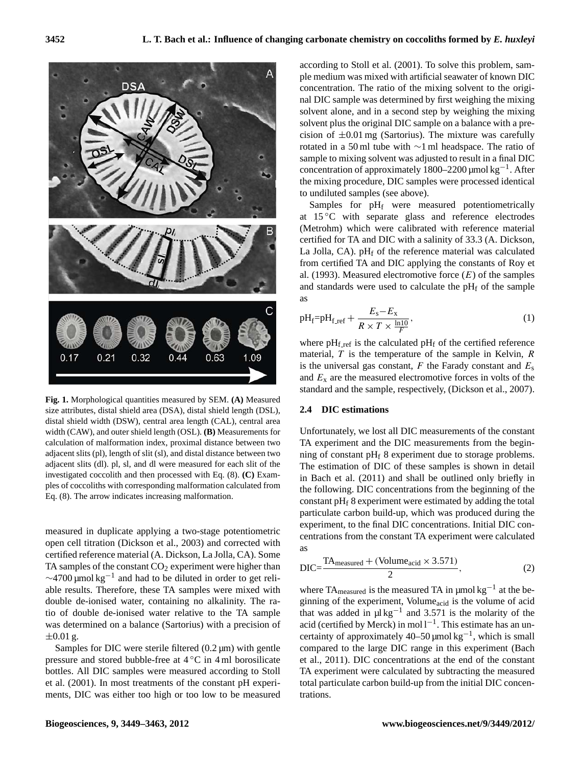

**Fig. 1.** Morphological quantities measured by SEM. **(A)** Measured **and the attention** by Semi-stal distal distal distal distal distal distal distal distal distal distal distal distal distal distal distal distal distal dis distal shield width (DSW), central area length (CAL), central area length (CAL), central area calculation of malformation index, proximal distance between two TA experiment and the DIC measurements from adjacent slits (dl). pl, sl, and dl were measured for each slit of the The estimation of DIC of these samples is sh  $\frac{1}{2}$  in Bach et al. (2011) and shall be outlined or ples of coccolities with corresponding malformation calculated from  $\frac{1}{2}$  the following DIC concentrations from the between the between the between the between size attributes, distal shield area (DSA), distal shield length (DSL), width (CAW), and outer shield length (OSL). **(B)** Measurements for adjacent slits (pl), length of slit (sl), and distal distance between two investigated coccolith and then processed with Eq. (8). **(C)** Exam-Eq. (8). The arrow indicates increasing malformation.

open cell titration (Dickson et al., 2003) and corrected with measured in duplicate applying a two-stage potentiometric certified reference material (A. Dickson, La Jolla, CA). Some TA samples of the constant  $CO<sub>2</sub>$  experiment were higher than  $\sim$ 4700 µmol kg<sup>-1</sup> and had to be diluted in order to get reliable results. Therefore, these TA samples were mixed with double de-ionised water, containing no alkalinity. The ratio of double de-ionised water relative to the TA sample was determined on a balance (Sartorius) with a precision of  $\pm 0.01$  g.

Samples for DIC were sterile filtered  $(0.2 \mu m)$  with gentle pressure and stored bubble-free at 4 ◦C in 4 ml borosilicate bottles. All DIC samples were measured according to Stoll et al. (2001). In most treatments of the constant pH experiments, DIC was either too high or too low to be measured according to Stoll et al. (2001). To solve this problem, sample medium was mixed with artificial seawater of known DIC concentration. The ratio of the mixing solvent to the original DIC sample was determined by first weighing the mixing solvent alone, and in a second step by weighing the mixing solvent plus the original DIC sample on a balance with a precision of  $\pm 0.01$  mg (Sartorius). The mixture was carefully rotated in a 50 ml tube with ∼1 ml headspace. The ratio of sample to mixing solvent was adjusted to result in a final DIC concentration of approximately 1800–2200 µmol kg−<sup>1</sup> . After the mixing procedure, DIC samples were processed identical to undiluted samples (see above).

Samples for pH<sub>f</sub> were measured potentiometrically at 15 °C with separate glass and reference electrodes (Metrohm) which were calibrated with reference material certified for TA and DIC with a salinity of 33.3 (A. Dickson, La Jolla, CA).  $pH_f$  of the reference material was calculated from certified TA and DIC applying the constants of Roy et al. (1993). Measured electromotive force  $(E)$  of the samples and standards were used to calculate the  $pH_f$  of the sample as

$$
pH_f = pH_{f_ref} + \frac{E_s - E_x}{R \times T \times \frac{\ln 10}{F}},
$$
\n(1)

where  $pH_{f,ref}$  is the calculated  $pH_f$  of the certified reference material,  $T$  is the temperature of the sample in Kelvin,  $R$ is the universal gas constant,  $F$  the Farady constant and  $E_s$ and  $E<sub>x</sub>$  are the measured electromotive forces in volts of the standard and the sample, respectively, (Dickson et al., 2007).

#### **2.4 DIC estimations**

 $\mu$ . (o). The arrow indicates increasing manomiation. constant pH<sub>f</sub> 8 experiment were estimated by adding the total  $\overline{\text{c}}$  experiment, to the final DIC concentrations. Initial DIC con-Unfortunately, we lost all DIC measurements of the constant TA experiment and the DIC measurements from the beginning of constant  $pH_f$  8 experiment due to storage problems. The estimation of DIC of these samples is shown in detail in Bach et al. (2011) and shall be outlined only briefly in the following. DIC concentrations from the beginning of the particulate carbon build-up, which was produced during the centrations from the constant TA experiment were calculated as

$$
DIC = \frac{TA_{\text{measured}} + (Volume_{\text{acid}} \times 3.571)}{2},
$$
 (2)

TA experiment were calculated by subtracting the measured where  $TA_{\text{measured}}$  is the measured TA in  $\mu$ mol kg<sup>-1</sup> at the beginning of the experiment, Volumeacid is the volume of acid that was added in  $\mu$ l kg<sup>-1</sup> and 3.571 is the molarity of the acid (certified by Merck) in mol l<sup>-1</sup>. This estimate has an uncertainty of approximately  $40-50 \mu$ mol kg<sup>-1</sup>, which is small compared to the large DIC range in this experiment (Bach et al., 2011). DIC concentrations at the end of the constant total particulate carbon build-up from the initial DIC concentrations.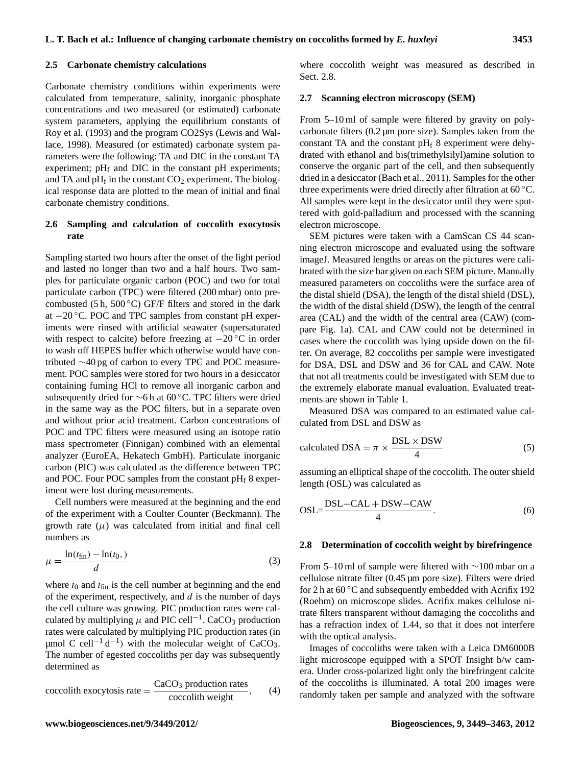Carbonate chemistry conditions within experiments were calculated from temperature, salinity, inorganic phosphate concentrations and two measured (or estimated) carbonate system parameters, applying the equilibrium constants of Roy et al. (1993) and the program CO2Sys (Lewis and Wallace, 1998). Measured (or estimated) carbonate system parameters were the following: TA and DIC in the constant TA experiment;  $pH_f$  and DIC in the constant  $pH$  experiments; and TA and  $pH_f$  in the constant  $CO_2$  experiment. The biological response data are plotted to the mean of initial and final carbonate chemistry conditions.

#### **2.6 Sampling and calculation of coccolith exocytosis rate**

Sampling started two hours after the onset of the light period and lasted no longer than two and a half hours. Two samples for particulate organic carbon (POC) and two for total particulate carbon (TPC) were filtered (200 mbar) onto precombusted (5 h, 500 $^{\circ}$ C) GF/F filters and stored in the dark at  $-20$  °C. POC and TPC samples from constant pH experiments were rinsed with artificial seawater (supersaturated with respect to calcite) before freezing at  $-20$  °C in order to wash off HEPES buffer which otherwise would have contributed ∼40 pg of carbon to every TPC and POC measurement. POC samples were stored for two hours in a desiccator containing fuming HCl to remove all inorganic carbon and subsequently dried for ∼6 h at 60 ◦C. TPC filters were dried in the same way as the POC filters, but in a separate oven and without prior acid treatment. Carbon concentrations of POC and TPC filters were measured using an isotope ratio mass spectrometer (Finnigan) combined with an elemental analyzer (EuroEA, Hekatech GmbH). Particulate inorganic carbon (PIC) was calculated as the difference between TPC and POC. Four POC samples from the constant  $pH_f$  8 experiment were lost during measurements.

Cell numbers were measured at the beginning and the end of the experiment with a Coulter Counter (Beckmann). The growth rate  $(\mu)$  was calculated from initial and final cell numbers as

$$
\mu = \frac{\ln(t_{\text{fin}}) - \ln(t_0,)}{d} \tag{3}
$$

where  $t_0$  and  $t_{fin}$  is the cell number at beginning and the end of the experiment, respectively, and  $d$  is the number of days the cell culture was growing. PIC production rates were calculated by multiplying  $\mu$  and PIC cell<sup>-1</sup>. CaCO<sub>3</sub> production rates were calculated by multiplying PIC production rates (in µmol C cell<sup>-1</sup> d<sup>-1</sup>) with the molecular weight of CaCO<sub>3</sub>. The number of egested coccoliths per day was subsequently determined as

$$
coccolith exocytosis rate = \frac{CaCO_3 \text{ production rates}}{coccolith weight}, \qquad (4)
$$

where coccolith weight was measured as described in Sect. 2.8.

#### **2.7 Scanning electron microscopy (SEM)**

From 5–10 ml of sample were filtered by gravity on polycarbonate filters (0.2 µm pore size). Samples taken from the constant TA and the constant  $pH_f$  8 experiment were dehydrated with ethanol and bis(trimethylsilyl)amine solution to conserve the organic part of the cell, and then subsequently dried in a desiccator (Bach et al., 2011). Samples for the other three experiments were dried directly after filtration at 60 ◦C. All samples were kept in the desiccator until they were sputtered with gold-palladium and processed with the scanning electron microscope.

SEM pictures were taken with a CamScan CS 44 scanning electron microscope and evaluated using the software imageJ. Measured lengths or areas on the pictures were calibrated with the size bar given on each SEM picture. Manually measured parameters on coccoliths were the surface area of the distal shield (DSA), the length of the distal shield (DSL), the width of the distal shield (DSW), the length of the central area (CAL) and the width of the central area (CAW) (compare Fig. 1a). CAL and CAW could not be determined in cases where the coccolith was lying upside down on the filter. On average, 82 coccoliths per sample were investigated for DSA, DSL and DSW and 36 for CAL and CAW. Note that not all treatments could be investigated with SEM due to the extremely elaborate manual evaluation. Evaluated treatments are shown in Table 1.

Measured DSA was compared to an estimated value calculated from DSL and DSW as

calculated DSA = 
$$
\pi \times \frac{\text{DSL} \times \text{DSW}}{4}
$$
 (5)

assuming an elliptical shape of the coccolith. The outer shield length (OSL) was calculated as

$$
OSL = \frac{DSL - CAL + DSW - CAW}{4}.
$$
 (6)

#### **2.8 Determination of coccolith weight by birefringence**

From 5–10 ml of sample were filtered with ∼100 mbar on a cellulose nitrate filter (0.45 µm pore size). Filters were dried for 2 h at  $60^{\circ}$ C and subsequently embedded with Acrifix 192 (Roehm) on microscope slides. Acrifix makes cellulose nitrate filters transparent without damaging the coccoliths and has a refraction index of 1.44, so that it does not interfere with the optical analysis.

Images of coccoliths were taken with a Leica DM6000B light microscope equipped with a SPOT Insight b/w camera. Under cross-polarized light only the birefringent calcite of the coccoliths is illuminated. A total 200 images were randomly taken per sample and analyzed with the software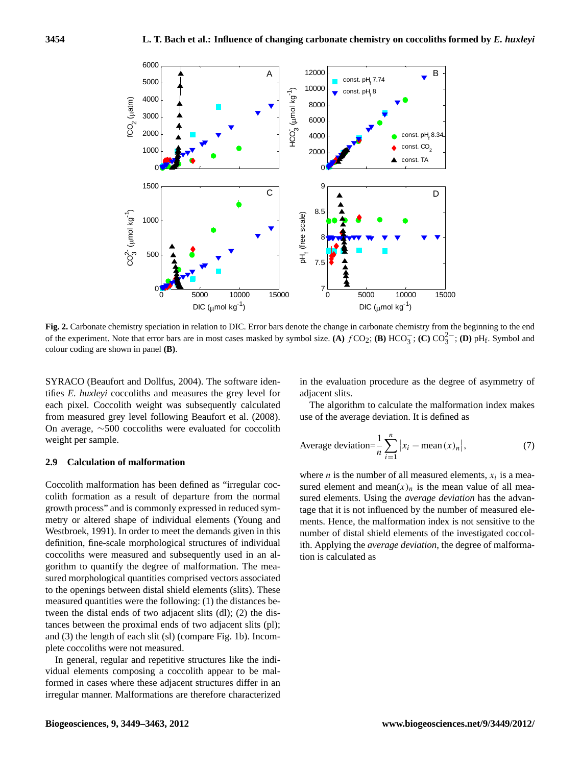

**Fig. 2.** Carbonate chemistry speciation in relation to DIC. Error bars denote the change in carbonate chemistry from the beginning to the end of the experiment. Note that error bars are in most cases masked by symbol size. (A)  $fCO_2$ ; (B)  $HCO_3^-$ ; (C)  $CO_3^{2-}$ ; (D)  $pH_f$ . Symbol and 3 colour coding are shown in panel **(B)**.  $\alpha$  and the beginning to the end of the end of the end of the end of the experiment. Note that experiment  $\omega$ ,

SYRACO (Beaufort and Dollfus, 2004). The software ideneach pixel. Coccolith weight was subsequently calculated 7 On average, ∼500 coccoliths were evaluated for coccolith weight per sample. tifies *E. huxleyi* coccoliths and measures the grey level for from measured grey level following Beaufort et al. (2008).

## 9 **2.9 Calculation of malformation**

Coccolith malformation has been defined as "irregular coccolith formation as a result of departure from the normal growth process" and is commonly expressed in reduced symmetry or altered shape of individual elements (Young and Westbroek, 1991). In order to meet the demands given in this definition, fine-scale morphological structures of individual coccoliths were measured and subsequently used in an algorithm to quantify the degree of malformation. The measured morphological quantities comprised vectors associated to the openings between distal shield elements (slits). These measured quantities were the following: (1) the distances between the distal ends of two adjacent slits (dl); (2) the distances between the proximal ends of two adjacent slits (pl); and (3) the length of each slit (sl) (compare Fig. 1b). Incomplete coccoliths were not measured.

In general, regular and repetitive structures like the individual elements composing a coccolith appear to be malformed in cases where these adjacent structures differ in an irregular manner. Malformations are therefore characterized in the evaluation procedure as the degree of asymmetry of adjacent slits.

The algorithm to calculate the malformation index makes use of the average deviation. It is defined as

Average deviation=
$$
\frac{1}{n}\sum_{i=1}^{n} |x_i - \text{mean}(x)_n|,
$$
 (7)

where *n* is the number of all measured elements,  $x_i$  is a measured element and mean $(x)_n$  is the mean value of all measured elements. Using the *average deviation* has the advantage that it is not influenced by the number of measured elements. Hence, the malformation index is not sensitive to the number of distal shield elements of the investigated coccolith. Applying the *average deviation*, the degree of malformation is calculated as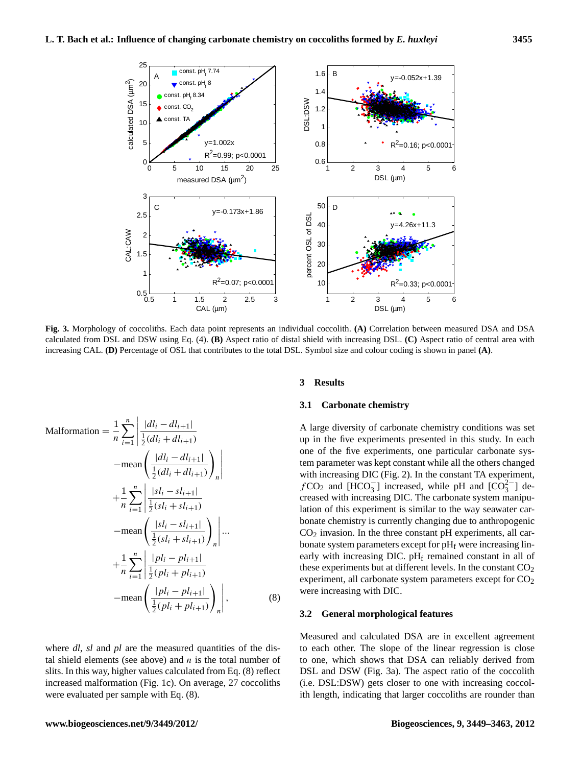

1 **Fig. 3.** Morphology of coccoliths. Each data point represents an individual coccolith. **(A)** Correlation between measured DSA and DSA increasing CAL. (D) Percentage of OSL that contributes to the total DSL. Symbol size and colour coding is shown in panel (A). calculated from DSL and DSW using Eq. (4). **(B)** Aspect ratio of distal shield with increasing DSL. **(C)** Aspect ratio of central area with

$$
\text{Malformation} = \frac{1}{n} \sum_{i=1}^{n} \left| \frac{|dl_i - dl_{i+1}|}{\frac{1}{2}(dl_i + dl_{i+1})} \right|
$$
\n
$$
-\text{mean}\left(\frac{|dl_i - dl_{i+1}|}{\frac{1}{2}(dl_i + dl_{i+1})}\right)_n \right|
$$
\n
$$
+ \frac{1}{n} \sum_{i=1}^{n} \left| \frac{|sl_i - sl_{i+1}|}{\frac{1}{2}(sl_i + sl_{i+1})} \right|
$$
\n
$$
-\text{mean}\left(\frac{|sl_i - sl_{i+1}|}{\frac{1}{2}(sl_i + sl_{i+1})}\right)_n \right| \cdots
$$
\n
$$
+ \frac{1}{n} \sum_{i=1}^{n} \left| \frac{|pl_i - pl_{i+1}|}{\frac{1}{2}(pl_i + pl_{i+1})} \right|
$$
\n
$$
-\text{mean}\left(\frac{|pl_i - pl_{i+1}|}{\frac{1}{2}(pl_i + pl_{i+1})}\right)_n \right|, \tag{8}
$$

where *dl*, *sl* and *pl* are the measured quantities of the distal shield elements (see above) and  $n$  is the total number of slits. In this way, higher values calculated from Eq. (8) reflect increased malformation (Fig. 1c). On average, 27 coccoliths were evaluated per sample with Eq. (8).

#### $\overline{\text{3} \quad \text{Results}}$ **3 Results**

#### $\mathcal{L}(\mathcal{A})$  extent of  $\mathcal{L}(\mathcal{A})$ **3.1 Carbonate chemistry**

A large diversity of carbonate chemistry conditions was set up in the five experiments presented in this study. In each one of the five experiments, one particular carbonate system parameter was kept constant while all the others changed with increasing DIC (Fig. 2). In the constant TA experiment,  $fCO_2$  and [HCO<sub>3</sub><sup>-</sup>] increased, while pH and [CO<sub>3</sub><sup>-</sup>] decreased with increasing DIC. The carbonate system manipulation of this experiment is similar to the way seawater carbonate chemistry is currently changing due to anthropogenic  $CO<sub>2</sub>$  invasion. In the three constant pH experiments, all carbonate system parameters except for  $pH_f$  were increasing linearly with increasing DIC.  $pH_f$  remained constant in all of these experiments but at different levels. In the constant  $CO<sub>2</sub>$ experiment, all carbonate system parameters except for  $CO<sub>2</sub>$ were increasing with DIC.

#### **3.2 General morphological features**

Measured and calculated DSA are in excellent agreement to each other. The slope of the linear regression is close to one, which shows that DSA can reliably derived from DSL and DSW (Fig. 3a). The aspect ratio of the coccolith (i.e. DSL:DSW) gets closer to one with increasing coccolith length, indicating that larger coccoliths are rounder than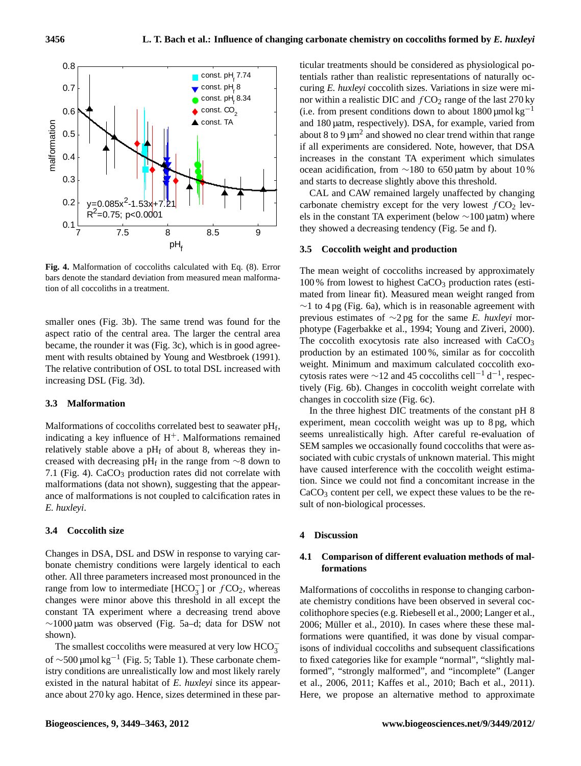

Fig. 4. Malformation of coccoliths calculated with Eq. (8). Error The mean weight of tion of all coccoliths in a treatment. bars denote the standard deviation from measured mean malforma-

smaller ones (Fig. 3b). The same trend was found for the aspect ratio of the central area. The larger the central area became, the rounder it was (Fig. 3c), which is in good agreement with results obtained by Young and Westbroek (1991). The relative contribution of OSL to total DSL increased with increasing DSL (Fig. 3d).

#### **3.3 Malformation**

Malformations of coccoliths correlated best to seawater  $pH_f$ , indicating a key influence of  $H<sup>+</sup>$ . Malformations remained relatively stable above a  $pH_f$  of about 8, whereas they increased with decreasing pH<sub>f</sub> in the range from  $\sim$ 8 down to 7.1 (Fig. 4).  $CaCO<sub>3</sub>$  production rates did not correlate with malformations (data not shown), suggesting that the appearance of malformations is not coupled to calcification rates in *E. huxleyi*.

#### **3.4 Coccolith size**

Changes in DSA, DSL and DSW in response to varying carbonate chemistry conditions were largely identical to each other. All three parameters increased most pronounced in the range from low to intermediate  $[HCO<sub>3</sub><sup>-</sup>]$  or  $fCO<sub>2</sub>$ , whereas changes were minor above this threshold in all except the constant TA experiment where a decreasing trend above ∼1000 µatm was observed (Fig. 5a–d; data for DSW not shown).

The smallest coccoliths were measured at very low  $HCO_3^$ of ∼500 µmol kg−<sup>1</sup> (Fig. 5; Table 1). These carbonate chemistry conditions are unrealistically low and most likely rarely existed in the natural habitat of *E. huxleyi* since its appearance about 270 ky ago. Hence, sizes determined in these particular treatments should be considered as physiological potentials rather than realistic representations of naturally occuring *E. huxleyi* coccolith sizes. Variations in size were minor within a realistic DIC and  $fCO<sub>2</sub>$  range of the last 270 ky (i.e. from present conditions down to about  $1800 \mu$ mol kg<sup>-1</sup> and 180 µatm, respectively). DSA, for example, varied from about 8 to 9  $\mu$ m<sup>2</sup> and showed no clear trend within that range if all experiments are considered. Note, however, that DSA increases in the constant TA experiment which simulates ocean acidification, from ∼180 to 650 µatm by about 10 % and starts to decrease slightly above this threshold.

CAL and CAW remained largely unaffected by changing carbonate chemistry except for the very lowest  $fCO<sub>2</sub>$  levels in the constant TA experiment (below ∼100 µatm) where they showed a decreasing tendency (Fig. 5e and f).

#### **3.5 Coccolith weight and production**

The mean weight of coccoliths increased by approximately  $100\%$  from lowest to highest CaCO<sub>3</sub> production rates (estimated from linear fit). Measured mean weight ranged from  $\sim$ 1 to 4 pg (Fig. 6a), which is in reasonable agreement with previous estimates of ∼2 pg for the same *E. huxleyi* morphotype (Fagerbakke et al., 1994; Young and Ziveri, 2000). The coccolith exocytosis rate also increased with CaCO<sub>3</sub> production by an estimated 100 %, similar as for coccolith weight. Minimum and maximum calculated coccolith exocytosis rates were  $\sim$ 12 and 45 coccoliths cell<sup>-1</sup> d<sup>-1</sup>, respectively (Fig. 6b). Changes in coccolith weight correlate with changes in coccolith size (Fig. 6c).

In the three highest DIC treatments of the constant pH 8 experiment, mean coccolith weight was up to 8 pg, which seems unrealistically high. After careful re-evaluation of SEM samples we occasionally found coccoliths that were associated with cubic crystals of unknown material. This might have caused interference with the coccolith weight estimation. Since we could not find a concomitant increase in the CaCO<sub>3</sub> content per cell, we expect these values to be the result of non-biological processes.

#### **4 Discussion**

#### **4.1 Comparison of different evaluation methods of malformations**

Malformations of coccoliths in response to changing carbonate chemistry conditions have been observed in several coccolithophore species (e.g. Riebesell et al., 2000; Langer et al., 2006; Müller et al., 2010). In cases where these these malformations were quantified, it was done by visual comparisons of individual coccoliths and subsequent classifications to fixed categories like for example "normal", "slightly malformed", "strongly malformed", and "incomplete" (Langer et al., 2006, 2011; Kaffes et al., 2010; Bach et al., 2011). Here, we propose an alternative method to approximate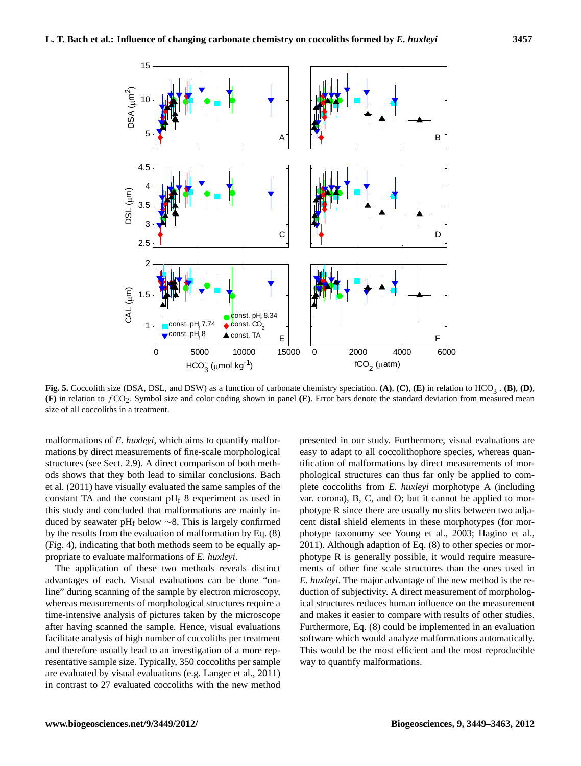

(F) in relation to  $fCO_2$ . Symbol size and color coding shown in panel (E). Error bars denote the standard deviation from measured mean size of all coccoliths in a treatment. **Fig. 5.** Coccolith size (DSA, DSL, and DSW) as a function of carbonate chemistry speciation. **(A)**, **(C)**, **(E)** in relation to HCO<sup>−</sup> 3 . **(B)**, **(D)**,

malformations of *E. huxleyi*, which aims to quantify malfor-<br>matrices the discrete set of forecast and concluded in the structures (see Sect. 2.9). A direct comparison of both methmations by direct measurements of fine-scale morphological ods shows that they both lead to similar conclusions. Bach et al. (2011) have visually evaluated the same samples of the constant TA and the constant  $pH_f$  8 experiment as used in this study and concluded that malformations are mainly induced by seawater pH<sub>f</sub> below  $\sim$ 8. This is largely confirmed by the results from the evaluation of malformation by Eq. (8) (Fig. 4), indicating that both methods seem to be equally appropriate to evaluate malformations of *E. huxleyi*.

The application of these two methods reveals distinct advantages of each. Visual evaluations can be done "online" during scanning of the sample by electron microscopy, whereas measurements of morphological structures require a time-intensive analysis of pictures taken by the microscope after having scanned the sample. Hence, visual evaluations facilitate analysis of high number of coccoliths per treatment and therefore usually lead to an investigation of a more representative sample size. Typically, 350 coccoliths per sample are evaluated by visual evaluations (e.g. Langer et al., 2011) in contrast to 27 evaluated coccoliths with the new method

duction or subjectivity. A uncertification of morpholog-<br>ical structures reduces human influence on the measurement presented in our study. Furthermore, visual evaluations are easy to adapt to all coccolithophore species, whereas quantification of malformations by direct measurements of morphological structures can thus far only be applied to complete coccoliths from *E. huxleyi* morphotype A (including var. corona), B, C, and O; but it cannot be applied to morphotype R since there are usually no slits between two adjacent distal shield elements in these morphotypes (for morphotype taxonomy see Young et al., 2003; Hagino et al., 2011). Although adaption of Eq. (8) to other species or morphotype R is generally possible, it would require measurements of other fine scale structures than the ones used in *E. huxleyi*. The major advantage of the new method is the reduction of subjectivity. A direct measurement of morphologand makes it easier to compare with results of other studies. Furthermore, Eq. (8) could be implemented in an evaluation software which would analyze malformations automatically. This would be the most efficient and the most reproducible way to quantify malformations.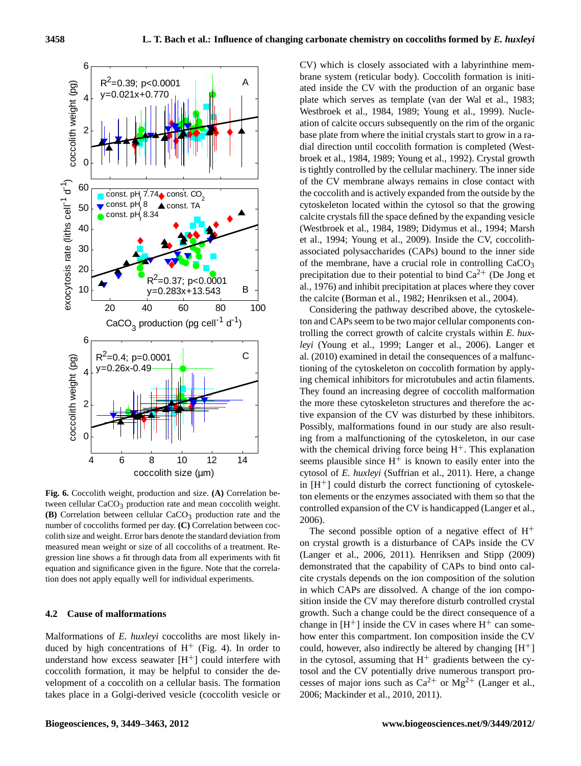

tween cellular CaCO<sub>3</sub> production rate and mean coccolith weight.  $\textbf{(B)}$  Correlation between cellular CaCO<sub>3</sub> production rate and the  $\textbf{2006}$ . colith size and weight. Error bars denote the standard deviation from The second possible opt 4 production rate and the number of coccoliths formed per day. (C) Correlation between measured mean weight or size of all coccoliths of a treatment. Re-**Fig. 6.** Coccolith weight, production and size. **(A)** Correlation benumber of coccoliths formed per day. **(C)** Correlation between cocgression line shows a fit through data from all experiments with fit equation and significance given in the figure. Note that the correlation does not apply equally well for individual experiments.

#### **4.2 Cause of malformations**

Malformations of *E. huxleyi* coccoliths are most likely induced by high concentrations of  $H^+$  (Fig. 4). In order to understand how excess seawater  $[H^+]$  could interfere with coccolith formation, it may be helpful to consider the development of a coccolith on a cellular basis. The formation takes place in a Golgi-derived vesicle (coccolith vesicle or CV) which is closely associated with a labyrinthine membrane system (reticular body). Coccolith formation is initiated inside the CV with the production of an organic base plate which serves as template (van der Wal et al., 1983; Westbroek et al., 1984, 1989; Young et al., 1999). Nucleation of calcite occurs subsequently on the rim of the organic base plate from where the initial crystals start to grow in a radial direction until coccolith formation is completed (Westbroek et al., 1984, 1989; Young et al., 1992). Crystal growth is tightly controlled by the cellular machinery. The inner side of the CV membrane always remains in close contact with the coccolith and is actively expanded from the outside by the cytoskeleton located within the cytosol so that the growing calcite crystals fill the space defined by the expanding vesicle (Westbroek et al., 1984, 1989; Didymus et al., 1994; Marsh et al., 1994; Young et al., 2009). Inside the CV, coccolithassociated polysaccharides (CAPs) bound to the inner side of the membrane, have a crucial role in controlling  $CaCO<sub>3</sub>$ precipitation due to their potential to bind  $Ca^{2+}$  (De Jong et al., 1976) and inhibit precipitation at places where they cover the calcite (Borman et al., 1982; Henriksen et al., 2004).

Considering the pathway described above, the cytoskeleton and CAPs seem to be two major cellular components controlling the correct growth of calcite crystals within *E. huxleyi* (Young et al., 1999; Langer et al., 2006). Langer et al. (2010) examined in detail the consequences of a malfunctioning of the cytoskeleton on coccolith formation by applying chemical inhibitors for microtubules and actin filaments. They found an increasing degree of coccolith malformation the more these cytoskeleton structures and therefore the active expansion of the CV was disturbed by these inhibitors. Possibly, malformations found in our study are also resulting from a malfunctioning of the cytoskeleton, in our case with the chemical driving force being  $H^+$ . This explanation seems plausible since  $H^+$  is known to easily enter into the cytosol of *E. huxleyi* (Suffrian et al., 2011). Here, a change in  $[H^+]$  could disturb the correct functioning of cytoskeleton elements or the enzymes associated with them so that the controlled expansion of the CV is handicapped (Langer et al., 2006).

cite crystals depends on the ion composition of the solution The second possible option of a negative effect of  $H^+$ on crystal growth is a disturbance of CAPs inside the CV (Langer et al., 2006, 2011). Henriksen and Stipp (2009) demonstrated that the capability of CAPs to bind onto calin which CAPs are dissolved. A change of the ion composition inside the CV may therefore disturb controlled crystal growth. Such a change could be the direct consequence of a change in  $[H^+]$  inside the CV in cases where  $H^+$  can somehow enter this compartment. Ion composition inside the CV could, however, also indirectly be altered by changing  $[H^+]$ in the cytosol, assuming that  $H^+$  gradients between the cytosol and the CV potentially drive numerous transport processes of major ions such as  $Ca^{2+}$  or  $Mg^{2+}$  (Langer et al., 2006; Mackinder et al., 2010, 2011).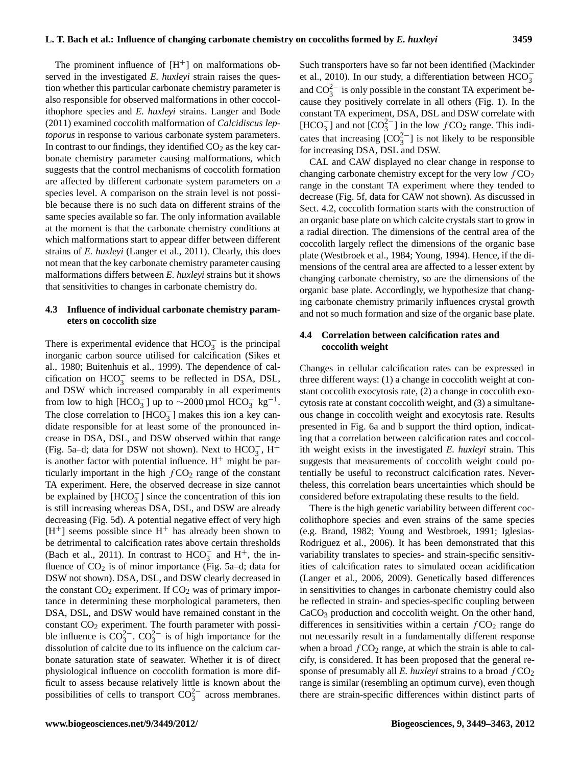The prominent influence of  $[H^+]$  on malformations observed in the investigated *E. huxleyi* strain raises the question whether this particular carbonate chemistry parameter is also responsible for observed malformations in other coccolithophore species and *E. huxleyi* strains. Langer and Bode (2011) examined coccolith malformation of *Calcidiscus leptoporus* in response to various carbonate system parameters. In contrast to our findings, they identified  $CO<sub>2</sub>$  as the key carbonate chemistry parameter causing malformations, which suggests that the control mechanisms of coccolith formation are affected by different carbonate system parameters on a species level. A comparison on the strain level is not possible because there is no such data on different strains of the same species available so far. The only information available at the moment is that the carbonate chemistry conditions at which malformations start to appear differ between different strains of *E. huxleyi* (Langer et al., 2011). Clearly, this does not mean that the key carbonate chemistry parameter causing malformations differs between *E. huxleyi* strains but it shows that sensitivities to changes in carbonate chemistry do.

#### **4.3 Influence of individual carbonate chemistry parameters on coccolith size**

There is experimental evidence that  $HCO<sub>3</sub><sup>-</sup>$  is the principal inorganic carbon source utilised for calcification (Sikes et al., 1980; Buitenhuis et al., 1999). The dependence of calcification on  $HCO_3^-$  seems to be reflected in DSA, DSL, and DSW which increased comparably in all experiments from low to high [HCO<sub>3</sub>] up to ~2000 µmol HCO<sub>3</sub> kg<sup>-1</sup>. The close correlation to  $[HCO_3^-]$  makes this ion a key candidate responsible for at least some of the pronounced increase in DSA, DSL, and DSW observed within that range (Fig. 5a–d; data for DSW not shown). Next to  $HCO_3^-$ ,  $H^+$ is another factor with potential influence.  $H^+$  might be particularly important in the high  $fCO<sub>2</sub>$  range of the constant TA experiment. Here, the observed decrease in size cannot be explained by  $[HCO_3^-]$  since the concentration of this ion is still increasing whereas DSA, DSL, and DSW are already decreasing (Fig. 5d). A potential negative effect of very high  $[H^+]$  seems possible since  $H^+$  has already been shown to be detrimental to calcification rates above certain thresholds (Bach et al., 2011). In contrast to  $HCO_3^-$  and  $H^+$ , the influence of  $CO<sub>2</sub>$  is of minor importance (Fig. 5a–d; data for DSW not shown). DSA, DSL, and DSW clearly decreased in the constant  $CO<sub>2</sub>$  experiment. If  $CO<sub>2</sub>$  was of primary importance in determining these morphological parameters, then DSA, DSL, and DSW would have remained constant in the constant CO<sub>2</sub> experiment. The fourth parameter with possible influence is  $CO_3^{2-}$ .  $CO_3^{2-}$  is of high importance for the dissolution of calcite due to its influence on the calcium carbonate saturation state of seawater. Whether it is of direct physiological influence on coccolith formation is more difficult to assess because relatively little is known about the possibilities of cells to transport  $CO_3^{2-}$  across membranes.

Such transporters have so far not been identified (Mackinder et al., 2010). In our study, a differentiation between  $HCO_3^$ and  $CO_3^{2-}$  is only possible in the constant TA experiment because they positively correlate in all others (Fig. 1). In the constant TA experiment, DSA, DSL and DSW correlate with [HCO<sub>3</sub><sup>-</sup>] and not [CO<sub>3</sub><sup>2-</sup>] in the low  $f$ CO<sub>2</sub> range. This indicates that increasing  $[CO_3^{2-}]$  is not likely to be responsible for increasing DSA, DSL and DSW.

CAL and CAW displayed no clear change in response to changing carbonate chemistry except for the very low  $fCO<sub>2</sub>$ range in the constant TA experiment where they tended to decrease (Fig. 5f, data for CAW not shown). As discussed in Sect. 4.2, coccolith formation starts with the construction of an organic base plate on which calcite crystals start to grow in a radial direction. The dimensions of the central area of the coccolith largely reflect the dimensions of the organic base plate (Westbroek et al., 1984; Young, 1994). Hence, if the dimensions of the central area are affected to a lesser extent by changing carbonate chemistry, so are the dimensions of the organic base plate. Accordingly, we hypothesize that changing carbonate chemistry primarily influences crystal growth and not so much formation and size of the organic base plate.

#### **4.4 Correlation between calcification rates and coccolith weight**

Changes in cellular calcification rates can be expressed in three different ways: (1) a change in coccolith weight at constant coccolith exocytosis rate, (2) a change in coccolith exocytosis rate at constant coccolith weight, and (3) a simultaneous change in coccolith weight and exocytosis rate. Results presented in Fig. 6a and b support the third option, indicating that a correlation between calcification rates and coccolith weight exists in the investigated *E. huxleyi* strain. This suggests that measurements of coccolith weight could potentially be useful to reconstruct calcification rates. Nevertheless, this correlation bears uncertainties which should be considered before extrapolating these results to the field.

There is the high genetic variability between different coccolithophore species and even strains of the same species (e.g. Brand, 1982; Young and Westbroek, 1991; Iglesias-Rodriguez et al., 2006). It has been demonstrated that this variability translates to species- and strain-specific sensitivities of calcification rates to simulated ocean acidification (Langer et al., 2006, 2009). Genetically based differences in sensitivities to changes in carbonate chemistry could also be reflected in strain- and species-specific coupling between CaCO<sup>3</sup> production and coccolith weight. On the other hand, differences in sensitivities within a certain  $fCO<sub>2</sub>$  range do not necessarily result in a fundamentally different response when a broad  $fCO<sub>2</sub>$  range, at which the strain is able to calcify, is considered. It has been proposed that the general response of presumably all *E. huxleyi* strains to a broad  $fCO<sub>2</sub>$ range is similar (resembling an optimum curve), even though there are strain-specific differences within distinct parts of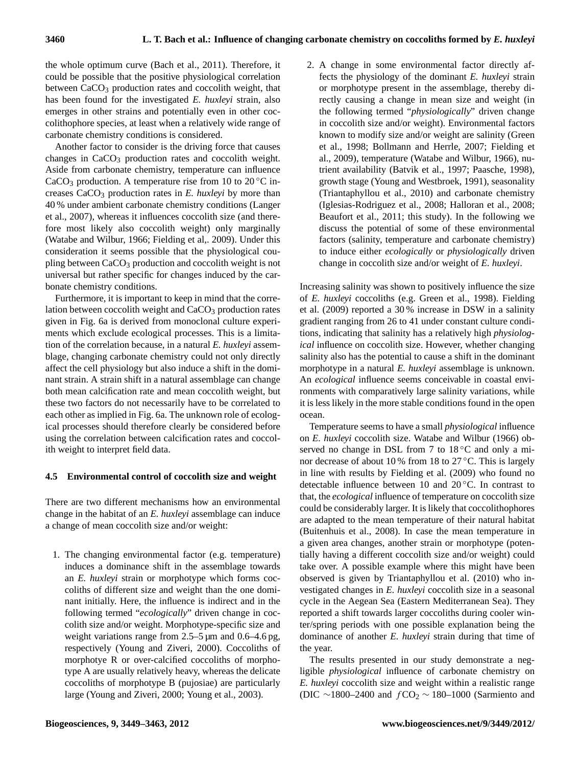the whole optimum curve (Bach et al., 2011). Therefore, it could be possible that the positive physiological correlation between CaCO<sub>3</sub> production rates and coccolith weight, that has been found for the investigated *E. huxleyi* strain, also emerges in other strains and potentially even in other coccolithophore species, at least when a relatively wide range of carbonate chemistry conditions is considered.

Another factor to consider is the driving force that causes changes in CaCO<sub>3</sub> production rates and coccolith weight. Aside from carbonate chemistry, temperature can influence CaCO<sub>3</sub> production. A temperature rise from 10 to 20 $\degree$ C increases CaCO<sup>3</sup> production rates in *E. huxleyi* by more than 40 % under ambient carbonate chemistry conditions (Langer et al., 2007), whereas it influences coccolith size (and therefore most likely also coccolith weight) only marginally (Watabe and Wilbur, 1966; Fielding et al,. 2009). Under this consideration it seems possible that the physiological coupling between CaCO<sub>3</sub> production and coccolith weight is not universal but rather specific for changes induced by the carbonate chemistry conditions.

Furthermore, it is important to keep in mind that the correlation between coccolith weight and CaCO<sub>3</sub> production rates given in Fig. 6a is derived from monoclonal culture experiments which exclude ecological processes. This is a limitation of the correlation because, in a natural *E. huxleyi* assemblage, changing carbonate chemistry could not only directly affect the cell physiology but also induce a shift in the dominant strain. A strain shift in a natural assemblage can change both mean calcification rate and mean coccolith weight, but these two factors do not necessarily have to be correlated to each other as implied in Fig. 6a. The unknown role of ecological processes should therefore clearly be considered before using the correlation between calcification rates and coccolith weight to interpret field data.

### **4.5 Environmental control of coccolith size and weight**

There are two different mechanisms how an environmental change in the habitat of an *E. huxleyi* assemblage can induce a change of mean coccolith size and/or weight:

1. The changing environmental factor (e.g. temperature) induces a dominance shift in the assemblage towards an *E. huxleyi* strain or morphotype which forms coccoliths of different size and weight than the one dominant initially. Here, the influence is indirect and in the following termed "*ecologically*" driven change in coccolith size and/or weight. Morphotype-specific size and weight variations range from  $2.5-5 \mu m$  and  $0.6-4.6 \text{ pg}$ , respectively (Young and Ziveri, 2000). Coccoliths of morphotye R or over-calcified coccoliths of morphotype A are usually relatively heavy, whereas the delicate coccoliths of morphotype B (pujosiae) are particularly large (Young and Ziveri, 2000; Young et al., 2003).

2. A change in some environmental factor directly affects the physiology of the dominant *E. huxleyi* strain or morphotype present in the assemblage, thereby directly causing a change in mean size and weight (in the following termed "*physiologically*" driven change in coccolith size and/or weight). Environmental factors known to modify size and/or weight are salinity (Green et al., 1998; Bollmann and Herrle, 2007; Fielding et al., 2009), temperature (Watabe and Wilbur, 1966), nutrient availability (Batvik et al., 1997; Paasche, 1998), growth stage (Young and Westbroek, 1991), seasonality (Triantaphyllou et al., 2010) and carbonate chemistry (Iglesias-Rodriguez et al., 2008; Halloran et al., 2008; Beaufort et al., 2011; this study). In the following we discuss the potential of some of these environmental factors (salinity, temperature and carbonate chemistry) to induce either *ecologically* or *physiologically* driven change in coccolith size and/or weight of *E. huxleyi*.

Increasing salinity was shown to positively influence the size of *E. huxleyi* coccoliths (e.g. Green et al., 1998). Fielding et al. (2009) reported a 30 % increase in DSW in a salinity gradient ranging from 26 to 41 under constant culture conditions, indicating that salinity has a relatively high *physiological* influence on coccolith size. However, whether changing salinity also has the potential to cause a shift in the dominant morphotype in a natural *E. huxleyi* assemblage is unknown. An *ecological* influence seems conceivable in coastal environments with comparatively large salinity variations, while it is less likely in the more stable conditions found in the open ocean.

Temperature seems to have a small *physiological* influence on *E. huxleyi* coccolith size. Watabe and Wilbur (1966) observed no change in DSL from 7 to 18 ℃ and only a minor decrease of about 10 % from 18 to  $27^{\circ}$ C. This is largely in line with results by Fielding et al. (2009) who found no detectable influence between 10 and 20 ◦C. In contrast to that, the *ecological* influence of temperature on coccolith size could be considerably larger. It is likely that coccolithophores are adapted to the mean temperature of their natural habitat (Buitenhuis et al., 2008). In case the mean temperature in a given area changes, another strain or morphotype (potentially having a different coccolith size and/or weight) could take over. A possible example where this might have been observed is given by Triantaphyllou et al. (2010) who investigated changes in *E. huxleyi* coccolith size in a seasonal cycle in the Aegean Sea (Eastern Mediterranean Sea). They reported a shift towards larger coccoliths during cooler winter/spring periods with one possible explanation being the dominance of another *E. huxleyi* strain during that time of the year.

The results presented in our study demonstrate a negligible *physiological* influence of carbonate chemistry on *E. huxleyi* coccolith size and weight within a realistic range (DIC ~1800–2400 and  $fCO<sub>2</sub>$  ~ 180–1000 (Sarmiento and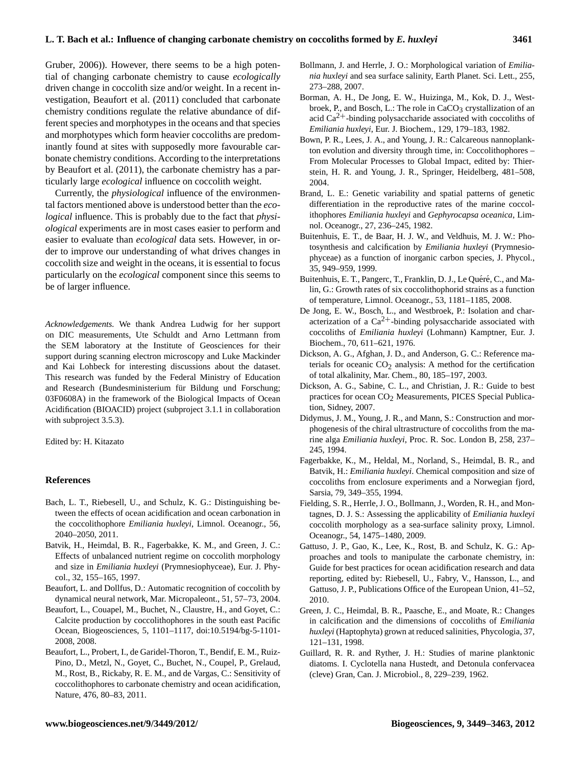Gruber, 2006)). However, there seems to be a high potential of changing carbonate chemistry to cause *ecologically* driven change in coccolith size and/or weight. In a recent investigation, Beaufort et al. (2011) concluded that carbonate chemistry conditions regulate the relative abundance of different species and morphotypes in the oceans and that species and morphotypes which form heavier coccoliths are predominantly found at sites with supposedly more favourable carbonate chemistry conditions. According to the interpretations by Beaufort et al. (2011), the carbonate chemistry has a particularly large *ecological* influence on coccolith weight.

Currently, the *physiological* influence of the environmental factors mentioned above is understood better than the *ecological* influence. This is probably due to the fact that *physiological* experiments are in most cases easier to perform and easier to evaluate than *ecological* data sets. However, in order to improve our understanding of what drives changes in coccolith size and weight in the oceans, it is essential to focus particularly on the *ecological* component since this seems to be of larger influence.

*Acknowledgements.* We thank Andrea Ludwig for her support on DIC measurements, Ute Schuldt and Arno Lettmann from the SEM laboratory at the Institute of Geosciences for their support during scanning electron microscopy and Luke Mackinder and Kai Lohbeck for interesting discussions about the dataset. This research was funded by the Federal Ministry of Education and Research (Bundesministerium für Bildung und Forschung; 03F0608A) in the framework of the Biological Impacts of Ocean Acidification (BIOACID) project (subproject 3.1.1 in collaboration with subproject 3.5.3).

Edited by: H. Kitazato

#### **References**

- Bach, L. T., Riebesell, U., and Schulz, K. G.: Distinguishing between the effects of ocean acidification and ocean carbonation in the coccolithophore *Emiliania huxleyi*, Limnol. Oceanogr., 56, 2040–2050, 2011.
- Batvik, H., Heimdal, B. R., Fagerbakke, K. M., and Green, J. C.: Effects of unbalanced nutrient regime on coccolith morphology and size in *Emiliania huxleyi* (Prymnesiophyceae), Eur. J. Phycol., 32, 155–165, 1997.
- Beaufort, L. and Dollfus, D.: Automatic recognition of coccolith by dynamical neural network, Mar. Micropaleont., 51, 57–73, 2004.
- Beaufort, L., Couapel, M., Buchet, N., Claustre, H., and Goyet, C.: Calcite production by coccolithophores in the south east Pacific Ocean, Biogeosciences, 5, 1101–1117, [doi:10.5194/bg-5-1101-](http://dx.doi.org/10.5194/bg-5-1101-2008) [2008,](http://dx.doi.org/10.5194/bg-5-1101-2008) 2008.
- Beaufort, L., Probert, I., de Garidel-Thoron, T., Bendif, E. M., Ruiz-Pino, D., Metzl, N., Goyet, C., Buchet, N., Coupel, P., Grelaud, M., Rost, B., Rickaby, R. E. M., and de Vargas, C.: Sensitivity of coccolithophores to carbonate chemistry and ocean acidification, Nature, 476, 80–83, 2011.
- Bollmann, J. and Herrle, J. O.: Morphological variation of *Emiliania huxleyi* and sea surface salinity, Earth Planet. Sci. Lett., 255, 273–288, 2007.
- Borman, A. H., De Jong, E. W., Huizinga, M., Kok, D. J., Westbroek, P., and Bosch, L.: The role in CaCO<sub>3</sub> crystallization of an acid  $Ca<sup>2+</sup>$ -binding polysaccharide associated with coccoliths of *Emiliania huxleyi*, Eur. J. Biochem., 129, 179–183, 1982.
- Bown, P. R., Lees, J. A., and Young, J. R.: Calcareous nannoplankton evolution and diversity through time, in: Coccolithophores – From Molecular Processes to Global Impact, edited by: Thierstein, H. R. and Young, J. R., Springer, Heidelberg, 481–508, 2004.
- Brand, L. E.: Genetic variability and spatial patterns of genetic differentiation in the reproductive rates of the marine coccolithophores *Emiliania huxleyi* and *Gephyrocapsa oceanica*, Limnol. Oceanogr., 27, 236–245, 1982.
- Buitenhuis, E. T., de Baar, H. J. W., and Veldhuis, M. J. W.: Photosynthesis and calcification by *Emiliania huxleyi* (Prymnesiophyceae) as a function of inorganic carbon species, J. Phycol., 35, 949–959, 1999.
- Buitenhuis, E. T., Pangerc, T., Franklin, D. J., Le Quéré, C., and Malin, G.: Growth rates of six coccolithophorid strains as a function of temperature, Limnol. Oceanogr., 53, 1181–1185, 2008.
- De Jong, E. W., Bosch, L., and Westbroek, P.: Isolation and characterization of a  $Ca^{2+}$ -binding polysaccharide associated with coccoliths of *Emiliania huxleyi* (Lohmann) Kamptner, Eur. J. Biochem., 70, 611–621, 1976.
- Dickson, A. G., Afghan, J. D., and Anderson, G. C.: Reference materials for oceanic  $CO<sub>2</sub>$  analysis: A method for the certification of total alkalinity, Mar. Chem., 80, 185–197, 2003.
- Dickson, A. G., Sabine, C. L., and Christian, J. R.: Guide to best practices for ocean CO<sub>2</sub> Measurements, PICES Special Publication, Sidney, 2007.
- Didymus, J. M., Young, J. R., and Mann, S.: Construction and morphogenesis of the chiral ultrastructure of coccoliths from the marine alga *Emiliania huxleyi*, Proc. R. Soc. London B, 258, 237– 245, 1994.
- Fagerbakke, K., M., Heldal, M., Norland, S., Heimdal, B. R., and Batvik, H.: *Emiliania huxleyi*. Chemical composition and size of coccoliths from enclosure experiments and a Norwegian fjord, Sarsia, 79, 349–355, 1994.
- Fielding, S. R., Herrle, J. O., Bollmann, J., Worden, R. H., and Montagnes, D. J. S.: Assessing the applicability of *Emiliania huxleyi* coccolith morphology as a sea-surface salinity proxy, Limnol. Oceanogr., 54, 1475–1480, 2009.
- Gattuso, J. P., Gao, K., Lee, K., Rost, B. and Schulz, K. G.: Approaches and tools to manipulate the carbonate chemistry, in: Guide for best practices for ocean acidification research and data reporting, edited by: Riebesell, U., Fabry, V., Hansson, L., and Gattuso, J. P., Publications Office of the European Union, 41–52, 2010.
- Green, J. C., Heimdal, B. R., Paasche, E., and Moate, R.: Changes in calcification and the dimensions of coccoliths of *Emiliania huxleyi* (Haptophyta) grown at reduced salinities, Phycologia, 37, 121–131, 1998.
- Guillard, R. R. and Ryther, J. H.: Studies of marine planktonic diatoms. I. Cyclotella nana Hustedt, and Detonula confervacea (cleve) Gran, Can. J. Microbiol., 8, 229–239, 1962.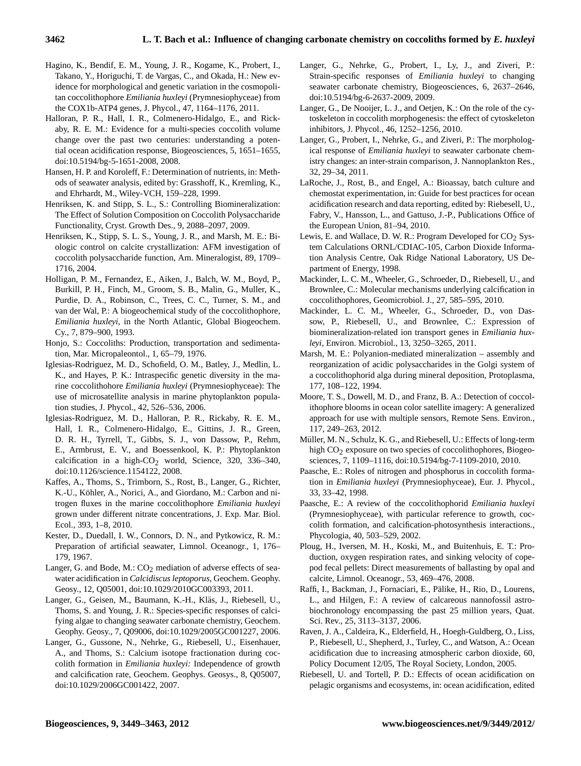- Hagino, K., Bendif, E. M., Young, J. R., Kogame, K., Probert, I., Takano, Y., Horiguchi, T. de Vargas, C., and Okada, H.: New evidence for morphological and genetic variation in the cosmopolitan coccolithophore *Emiliania huxleyi* (Prymnesiophyceae) from the COX1b-ATP4 genes, J. Phycol., 47, 1164–1176, 2011.
- Halloran, P. R., Hall, I. R., Colmenero-Hidalgo, E., and Rickaby, R. E. M.: Evidence for a multi-species coccolith volume change over the past two centuries: understanding a potential ocean acidification response, Biogeosciences, 5, 1651–1655, [doi:10.5194/bg-5-1651-2008,](http://dx.doi.org/10.5194/bg-5-1651-2008) 2008.
- Hansen, H. P. and Koroleff, F.: Determination of nutrients, in: Methods of seawater analysis, edited by: Grasshoff, K., Kremling, K., and Ehrhardt, M., Wiley-VCH, 159–228, 1999.
- Henriksen, K. and Stipp, S. L., S.: Controlling Biomineralization: The Effect of Solution Composition on Coccolith Polysaccharide Functionality, Cryst. Growth Des., 9, 2088–2097, 2009.
- Henriksen, K., Stipp, S. L. S., Young, J. R., and Marsh, M. E.: Biologic control on calcite crystallization: AFM investigation of coccolith polysaccharide function, Am. Mineralogist, 89, 1709– 1716, 2004.
- Holligan, P. M., Fernandez, E., Aiken, J., Balch, W. M., Boyd, P., Burkill, P. H., Finch, M., Groom, S. B., Malin, G., Muller, K., Purdie, D. A., Robinson, C., Trees, C. C., Turner, S. M., and van der Wal, P.: A biogeochemical study of the coccolithophore, *Emiliania huxleyi*, in the North Atlantic, Global Biogeochem. Cy., 7, 879–900, 1993.
- Honjo, S.: Coccoliths: Production, transportation and sedimentation, Mar. Micropaleontol., 1, 65–79, 1976.
- Iglesias-Rodriguez, M. D., Schofield, O. M., Batley, J., Medlin, L. K., and Hayes, P. K.: Intraspecific genetic diversity in the marine coccolithohore *Emiliania huxleyi* (Prymnesiophyceae): The use of microsatellite analysis in marine phytoplankton population studies, J. Phycol., 42, 526–536, 2006.
- Iglesias-Rodriguez, M. D., Halloran, P. R., Rickaby, R. E. M., Hall, I. R., Colmenero-Hidalgo, E., Gittins, J. R., Green, D. R. H., Tyrrell, T., Gibbs, S. J., von Dassow, P., Rehm, E., Armbrust, E. V., and Boessenkool, K. P.: Phytoplankton calcification in a high- $CO<sub>2</sub>$  world, Science, 320, 336–340, [doi:10.1126/science.1154122,](http://dx.doi.org/10.1126/science.1154122) 2008.
- Kaffes, A., Thoms, S., Trimborn, S., Rost, B., Langer, G., Richter, K.-U., Köhler, A., Norici, A., and Giordano, M.: Carbon and nitrogen fluxes in the marine coccolithophore *Emiliania huxleyi* grown under different nitrate concentrations, J. Exp. Mar. Biol. Ecol., 393, 1–8, 2010.
- Kester, D., Duedall, I. W., Connors, D. N., and Pytkowicz, R. M.: Preparation of artificial seawater, Limnol. Oceanogr., 1, 176– 179, 1967.
- Langer, G. and Bode, M.:  $CO<sub>2</sub>$  mediation of adverse effects of seawater acidification in *Calcidiscus leptoporus*, Geochem. Geophy. Geosy., 12, Q05001, [doi:10.1029/2010GC003393,](http://dx.doi.org/10.1029/2010GC003393) 2011.
- Langer, G., Geisen, M., Baumann, K.-H., Kläs, J., Riebesell, U., Thoms, S. and Young, J. R.: Species-specific responses of calcifying algae to changing seawater carbonate chemistry, Geochem. Geophy. Geosy., 7, Q09006, [doi:10.1029/2005GC001227,](http://dx.doi.org/10.1029/2005GC001227) 2006.
- Langer, G., Gussone, N., Nehrke, G., Riebesell, U., Eisenhauer, A., and Thoms, S.: Calcium isotope fractionation during coccolith formation in *Emiliania huxleyi:* Independence of growth and calcification rate, Geochem. Geophys. Geosys., 8, Q05007, [doi:10.1029/2006GC001422,](http://dx.doi.org/10.1029/2006GC001422) 2007.
- Langer, G., Nehrke, G., Probert, I., Ly, J., and Ziveri, P.: Strain-specific responses of *Emiliania huxleyi* to changing seawater carbonate chemistry, Biogeosciences, 6, 2637–2646, [doi:10.5194/bg-6-2637-2009,](http://dx.doi.org/10.5194/bg-6-2637-2009) 2009.
- Langer, G., De Nooijer, L. J., and Oetjen, K.: On the role of the cytoskeleton in coccolith morphogenesis: the effect of cytoskeleton inhibitors, J. Phycol., 46, 1252–1256, 2010.
- Langer, G., Probert, I., Nehrke, G., and Ziveri, P.: The morphological response of *Emiliania huxleyi* to seawater carbonate chemistry changes: an inter-strain comparison, J. Nannoplankton Res., 32, 29–34, 2011.
- LaRoche, J., Rost, B., and Engel, A.: Bioassay, batch culture and chemostat experimentation, in: Guide for best practices for ocean acidification research and data reporting, edited by: Riebesell, U., Fabry, V., Hansson, L., and Gattuso, J.-P., Publications Office of the European Union, 81–94, 2010.
- Lewis, E. and Wallace, D. W. R.: Program Developed for  $CO<sub>2</sub>$  System Calculations ORNL/CDIAC-105, Carbon Dioxide Information Analysis Centre, Oak Ridge National Laboratory, US Department of Energy, 1998.
- Mackinder, L. C. M., Wheeler, G., Schroeder, D., Riebesell, U., and Brownlee, C.: Molecular mechanisms underlying calcification in coccolithophores, Geomicrobiol. J., 27, 585–595, 2010.
- Mackinder, L. C. M., Wheeler, G., Schroeder, D., von Dassow, P., Riebesell, U., and Brownlee, C.: Expression of biomineralization-related ion transport genes in *Emiliania huxleyi*, Environ. Microbiol., 13, 3250–3265, 2011.
- Marsh, M. E.: Polyanion-mediated mineralization assembly and reorganization of acidic polysaccharides in the Golgi system of a coccolithophorid alga during mineral deposition, Protoplasma, 177, 108–122, 1994.
- Moore, T. S., Dowell, M. D., and Franz, B. A.: Detection of coccolithophore blooms in ocean color satellite imagery: A generalized approach for use with multiple sensors, Remote Sens. Environ., 117, 249–263, 2012.
- Müller, M. N., Schulz, K. G., and Riebesell, U.: Effects of long-term high CO<sub>2</sub> exposure on two species of coccolithophores, Biogeosciences, 7, 1109–1116, [doi:10.5194/bg-7-1109-2010,](http://dx.doi.org/10.5194/bg-7-1109-2010) 2010.
- Paasche, E.: Roles of nitrogen and phosphorus in coccolith formation in *Emiliania huxleyi* (Prymnesiophyceae), Eur. J. Phycol., 33, 33–42, 1998.
- Paasche, E.: A review of the coccolithophorid *Emiliania huxleyi* (Prymnesiophyceae), with particular reference to growth, coccolith formation, and calcification-photosynthesis interactions., Phycologia, 40, 503–529, 2002.
- Ploug, H., Iversen, M. H., Koski, M., and Buitenhuis, E. T.: Production, oxygen respiration rates, and sinking velocity of copepod fecal pellets: Direct measurements of ballasting by opal and calcite, Limnol. Oceanogr., 53, 469–476, 2008.
- Raffi, I., Backman, J., Fornaciari, E., Palike, H., Rio, D., Lourens, ¨ L., and Hilgen, F.: A review of calcareous nannofossil astrobiochronology encompassing the past 25 million years, Quat. Sci. Rev., 25, 3113–3137, 2006.
- Raven, J. A., Caldeira, K., Elderfield, H., Hoegh-Guldberg, O., Liss, P., Riebesell, U., Shepherd, J., Turley, C., and Watson, A.: Ocean acidification due to increasing atmospheric carbon dioxide, 60, Policy Document 12/05, The Royal Society, London, 2005.
- Riebesell, U. and Tortell, P. D.: Effects of ocean acidification on pelagic organisms and ecosystems, in: ocean acidification, edited